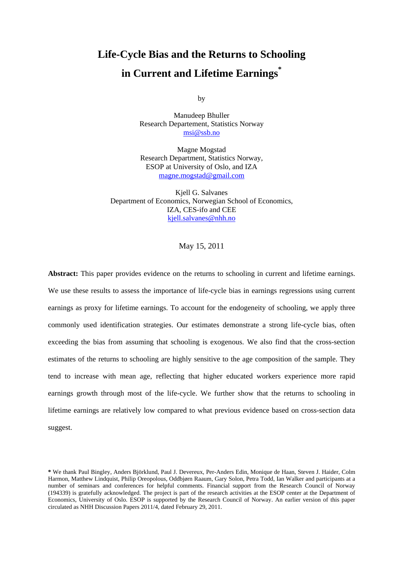# **Life-Cycle Bias and the Returns to Schooling in Current and Lifetime Earnings\***

by

Manudeep Bhuller Research Departement, Statistics Norway msi@ssb.no

Magne Mogstad Research Department, Statistics Norway, ESOP at University of Oslo, and IZA magne.mogstad@gmail.com

Kjell G. Salvanes Department of Economics, Norwegian School of Economics, IZA, CES-ifo and CEE kjell.salvanes@nhh.no

May 15, 2011

**Abstract:** This paper provides evidence on the returns to schooling in current and lifetime earnings. We use these results to assess the importance of life-cycle bias in earnings regressions using current earnings as proxy for lifetime earnings. To account for the endogeneity of schooling, we apply three commonly used identification strategies. Our estimates demonstrate a strong life-cycle bias, often exceeding the bias from assuming that schooling is exogenous. We also find that the cross-section estimates of the returns to schooling are highly sensitive to the age composition of the sample. They tend to increase with mean age, reflecting that higher educated workers experience more rapid earnings growth through most of the life-cycle. We further show that the returns to schooling in lifetime earnings are relatively low compared to what previous evidence based on cross-section data suggest.

**<sup>\*</sup>** We thank Paul Bingley, Anders Björklund, Paul J. Devereux, Per-Anders Edin, Monique de Haan, Steven J. Haider, Colm Harmon, Matthew Lindquist, Philip Oreopolous, Oddbjørn Raaum, Gary Solon, Petra Todd, Ian Walker and participants at a number of seminars and conferences for helpful comments. Financial support from the Research Council of Norway (194339) is gratefully acknowledged. The project is part of the research activities at the ESOP center at the Department of Economics, University of Oslo. ESOP is supported by the Research Council of Norway. An earlier version of this paper circulated as NHH Discussion Papers 2011/4, dated February 29, 2011.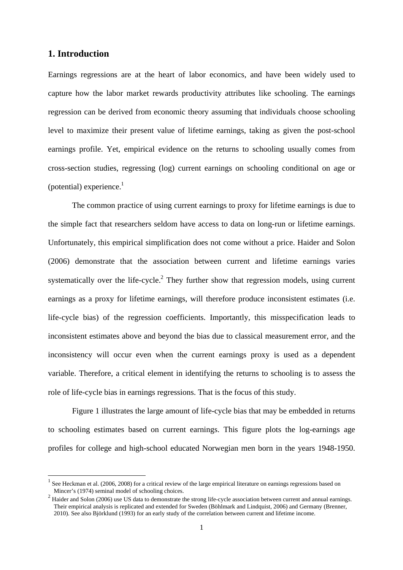## **1. Introduction**

l

Earnings regressions are at the heart of labor economics, and have been widely used to capture how the labor market rewards productivity attributes like schooling. The earnings regression can be derived from economic theory assuming that individuals choose schooling level to maximize their present value of lifetime earnings, taking as given the post-school earnings profile. Yet, empirical evidence on the returns to schooling usually comes from cross-section studies, regressing (log) current earnings on schooling conditional on age or (potential) experience. $<sup>1</sup>$ </sup>

The common practice of using current earnings to proxy for lifetime earnings is due to the simple fact that researchers seldom have access to data on long-run or lifetime earnings. Unfortunately, this empirical simplification does not come without a price. Haider and Solon (2006) demonstrate that the association between current and lifetime earnings varies systematically over the life-cycle.<sup>2</sup> They further show that regression models, using current earnings as a proxy for lifetime earnings, will therefore produce inconsistent estimates (i.e. life-cycle bias) of the regression coefficients. Importantly, this misspecification leads to inconsistent estimates above and beyond the bias due to classical measurement error, and the inconsistency will occur even when the current earnings proxy is used as a dependent variable. Therefore, a critical element in identifying the returns to schooling is to assess the role of life-cycle bias in earnings regressions. That is the focus of this study.

Figure 1 illustrates the large amount of life-cycle bias that may be embedded in returns to schooling estimates based on current earnings. This figure plots the log-earnings age profiles for college and high-school educated Norwegian men born in the years 1948-1950.

 $<sup>1</sup>$  See Heckman et al. (2006, 2008) for a critical review of the large empirical literature on earnings regressions based on</sup> Mincer's (1974) seminal model of schooling choices.

 $2$  Haider and Solon (2006) use US data to demonstrate the strong life-cycle association between current and annual earnings. Their empirical analysis is replicated and extended for Sweden (Böhlmark and Lindquist, 2006) and Germany (Brenner, 2010). See also Björklund (1993) for an early study of the correlation between current and lifetime income.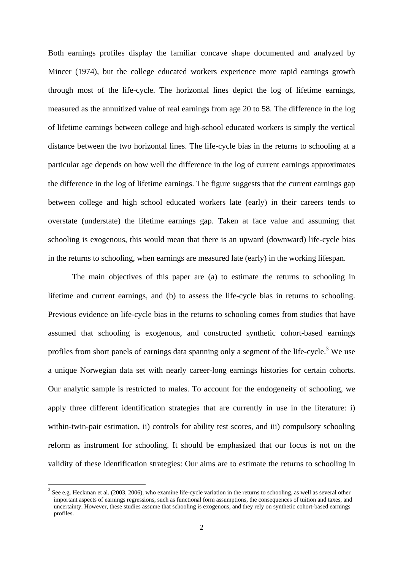Both earnings profiles display the familiar concave shape documented and analyzed by Mincer (1974), but the college educated workers experience more rapid earnings growth through most of the life-cycle. The horizontal lines depict the log of lifetime earnings, measured as the annuitized value of real earnings from age 20 to 58. The difference in the log of lifetime earnings between college and high-school educated workers is simply the vertical distance between the two horizontal lines. The life-cycle bias in the returns to schooling at a particular age depends on how well the difference in the log of current earnings approximates the difference in the log of lifetime earnings. The figure suggests that the current earnings gap between college and high school educated workers late (early) in their careers tends to overstate (understate) the lifetime earnings gap. Taken at face value and assuming that schooling is exogenous, this would mean that there is an upward (downward) life-cycle bias in the returns to schooling, when earnings are measured late (early) in the working lifespan.

The main objectives of this paper are (a) to estimate the returns to schooling in lifetime and current earnings, and (b) to assess the life-cycle bias in returns to schooling. Previous evidence on life-cycle bias in the returns to schooling comes from studies that have assumed that schooling is exogenous, and constructed synthetic cohort-based earnings profiles from short panels of earnings data spanning only a segment of the life-cycle.<sup>3</sup> We use a unique Norwegian data set with nearly career-long earnings histories for certain cohorts. Our analytic sample is restricted to males. To account for the endogeneity of schooling, we apply three different identification strategies that are currently in use in the literature: i) within-twin-pair estimation, ii) controls for ability test scores, and iii) compulsory schooling reform as instrument for schooling. It should be emphasized that our focus is not on the validity of these identification strategies: Our aims are to estimate the returns to schooling in

 $\overline{\phantom{a}}$ 

 $3$  See e.g. Heckman et al. (2003, 2006), who examine life-cycle variation in the returns to schooling, as well as several other important aspects of earnings regressions, such as functional form assumptions, the consequences of tuition and taxes, and uncertainty. However, these studies assume that schooling is exogenous, and they rely on synthetic cohort-based earnings profiles.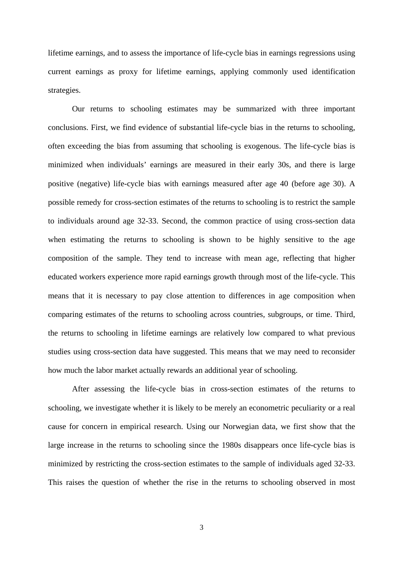lifetime earnings, and to assess the importance of life-cycle bias in earnings regressions using current earnings as proxy for lifetime earnings, applying commonly used identification strategies.

Our returns to schooling estimates may be summarized with three important conclusions. First, we find evidence of substantial life-cycle bias in the returns to schooling, often exceeding the bias from assuming that schooling is exogenous. The life-cycle bias is minimized when individuals' earnings are measured in their early 30s, and there is large positive (negative) life-cycle bias with earnings measured after age 40 (before age 30). A possible remedy for cross-section estimates of the returns to schooling is to restrict the sample to individuals around age 32-33. Second, the common practice of using cross-section data when estimating the returns to schooling is shown to be highly sensitive to the age composition of the sample. They tend to increase with mean age, reflecting that higher educated workers experience more rapid earnings growth through most of the life-cycle. This means that it is necessary to pay close attention to differences in age composition when comparing estimates of the returns to schooling across countries, subgroups, or time. Third, the returns to schooling in lifetime earnings are relatively low compared to what previous studies using cross-section data have suggested. This means that we may need to reconsider how much the labor market actually rewards an additional year of schooling.

After assessing the life-cycle bias in cross-section estimates of the returns to schooling, we investigate whether it is likely to be merely an econometric peculiarity or a real cause for concern in empirical research. Using our Norwegian data, we first show that the large increase in the returns to schooling since the 1980s disappears once life-cycle bias is minimized by restricting the cross-section estimates to the sample of individuals aged 32-33. This raises the question of whether the rise in the returns to schooling observed in most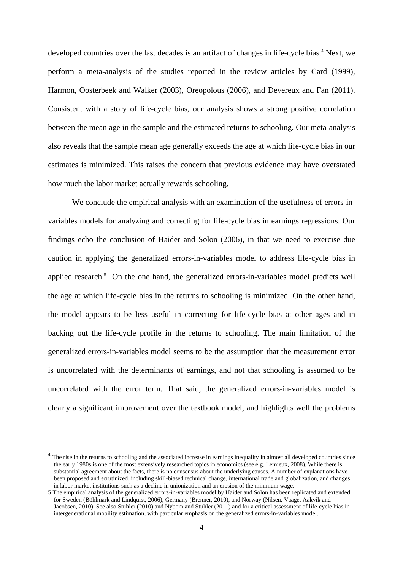developed countries over the last decades is an artifact of changes in life-cycle bias.<sup>4</sup> Next, we perform a meta-analysis of the studies reported in the review articles by Card (1999), Harmon, Oosterbeek and Walker (2003), Oreopolous (2006), and Devereux and Fan (2011). Consistent with a story of life-cycle bias, our analysis shows a strong positive correlation between the mean age in the sample and the estimated returns to schooling. Our meta-analysis also reveals that the sample mean age generally exceeds the age at which life-cycle bias in our estimates is minimized. This raises the concern that previous evidence may have overstated how much the labor market actually rewards schooling.

We conclude the empirical analysis with an examination of the usefulness of errors-invariables models for analyzing and correcting for life-cycle bias in earnings regressions. Our findings echo the conclusion of Haider and Solon (2006), in that we need to exercise due caution in applying the generalized errors-in-variables model to address life-cycle bias in applied research.<sup>5</sup> On the one hand, the generalized errors-in-variables model predicts well the age at which life-cycle bias in the returns to schooling is minimized. On the other hand, the model appears to be less useful in correcting for life-cycle bias at other ages and in backing out the life-cycle profile in the returns to schooling. The main limitation of the generalized errors-in-variables model seems to be the assumption that the measurement error is uncorrelated with the determinants of earnings, and not that schooling is assumed to be uncorrelated with the error term. That said, the generalized errors-in-variables model is clearly a significant improvement over the textbook model, and highlights well the problems

 $\overline{\phantom{a}}$ 

The rise in the returns to schooling and the associated increase in earnings inequality in almost all developed countries since the early 1980s is one of the most extensively researched topics in economics (see e.g. Lemieux, 2008). While there is substantial agreement about the facts, there is no consensus about the underlying causes. A number of explanations have been proposed and scrutinized, including skill-biased technical change, international trade and globalization, and changes in labor market institutions such as a decline in unionization and an erosion of the minimum wage.

<sup>5</sup> The empirical analysis of the generalized errors-in-variables model by Haider and Solon has been replicated and extended for Sweden (Böhlmark and Lindquist, 2006), Germany (Brenner, 2010), and Norway (Nilsen, Vaage, Aakvik and Jacobsen, 2010). See also Stuhler (2010) and Nybom and Stuhler (2011) and for a critical assessment of life-cycle bias in intergenerational mobility estimation, with particular emphasis on the generalized errors-in-variables model.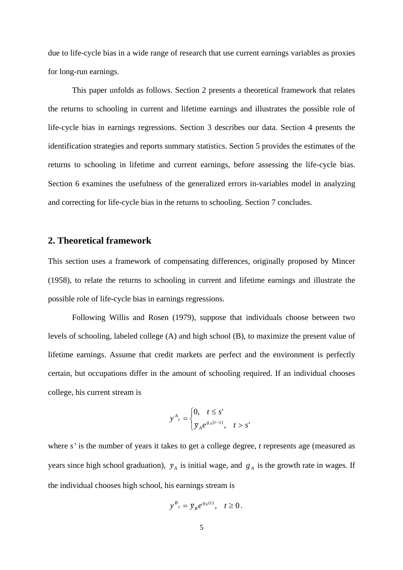due to life-cycle bias in a wide range of research that use current earnings variables as proxies for long-run earnings.

This paper unfolds as follows. Section 2 presents a theoretical framework that relates the returns to schooling in current and lifetime earnings and illustrates the possible role of life-cycle bias in earnings regressions. Section 3 describes our data. Section 4 presents the identification strategies and reports summary statistics. Section 5 provides the estimates of the returns to schooling in lifetime and current earnings, before assessing the life-cycle bias. Section 6 examines the usefulness of the generalized errors in-variables model in analyzing and correcting for life-cycle bias in the returns to schooling. Section 7 concludes.

#### **2. Theoretical framework**

This section uses a framework of compensating differences, originally proposed by Mincer (1958), to relate the returns to schooling in current and lifetime earnings and illustrate the possible role of life-cycle bias in earnings regressions.

Following Willis and Rosen (1979), suppose that individuals choose between two levels of schooling, labeled college (A) and high school (B), to maximize the present value of lifetime earnings. Assume that credit markets are perfect and the environment is perfectly certain, but occupations differ in the amount of schooling required. If an individual chooses college, his current stream is

$$
y^{A}_{t} = \begin{cases} 0, & t \leq s' \\ \overline{y}_{A} e^{g_{A}(t-s)}, & t > s' \end{cases}
$$

where *s'* is the number of years it takes to get a college degree, *t* represents age (measured as years since high school graduation),  $\bar{y}_A$  is initial wage, and  $g_A$  is the growth rate in wages. If the individual chooses high school, his earnings stream is

$$
y^B{}_t = \overline{y}_B e^{g_B(t)}, \quad t \ge 0.
$$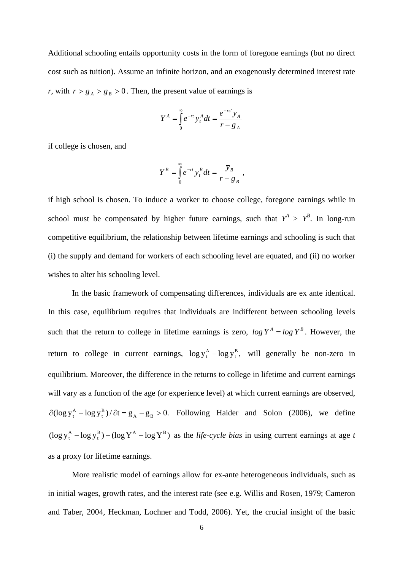Additional schooling entails opportunity costs in the form of foregone earnings (but no direct cost such as tuition). Assume an infinite horizon, and an exogenously determined interest rate *r*, with  $r > g_A > g_B > 0$ . Then, the present value of earnings is

$$
Y^{A} = \int_{0}^{\infty} e^{-rt} y_{t}^{A} dt = \frac{e^{-rs^{T}} y_{A}}{r - g_{A}}
$$

if college is chosen, and

$$
Y^B = \int_0^\infty e^{-rt} y_t^B dt = \frac{\overline{y}_B}{r - g_B},
$$

if high school is chosen. To induce a worker to choose college, foregone earnings while in school must be compensated by higher future earnings, such that  $Y^A > Y^B$ . In long-run competitive equilibrium, the relationship between lifetime earnings and schooling is such that (i) the supply and demand for workers of each schooling level are equated, and (ii) no worker wishes to alter his schooling level.

In the basic framework of compensating differences, individuals are ex ante identical. In this case, equilibrium requires that individuals are indifferent between schooling levels such that the return to college in lifetime earnings is zero,  $\log Y^A = \log Y^B$ . However, the return to college in current earnings,  $\log y_t^A - \log y_t^B$ ,  $X_t^A$  – log  $y_t^B$ , will generally be non-zero in equilibrium. Moreover, the difference in the returns to college in lifetime and current earnings will vary as a function of the age (or experience level) at which current earnings are observed,  $(\log y_t^A - \log y_t^B)/\partial t = g_A - g_B > 0.$  $\partial(\log y_t^A - \log y_t^B)/\partial t = g_A - g_B > 0$ . Following Haider and Solon (2006), we define  $(\log y_t^A - \log y_t^B) - (\log Y^A - \log Y^B)$  $X_t^A$  – log  $y_t^B$ ) – (log  $Y^A$  – log  $Y^B$ ) as the *life-cycle bias* in using current earnings at age *t* as a proxy for lifetime earnings.

More realistic model of earnings allow for ex-ante heterogeneous individuals, such as in initial wages, growth rates, and the interest rate (see e.g. Willis and Rosen, 1979; Cameron and Taber, 2004, Heckman, Lochner and Todd, 2006). Yet, the crucial insight of the basic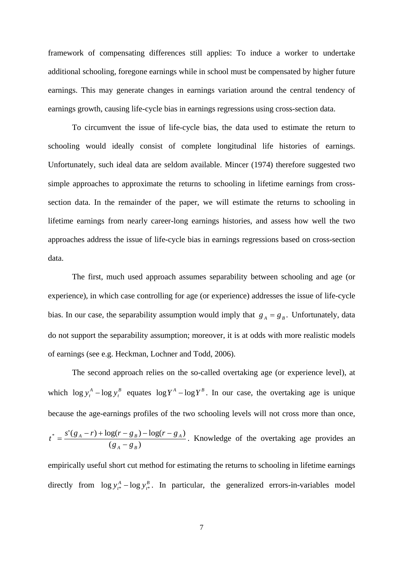framework of compensating differences still applies: To induce a worker to undertake additional schooling, foregone earnings while in school must be compensated by higher future earnings. This may generate changes in earnings variation around the central tendency of earnings growth, causing life-cycle bias in earnings regressions using cross-section data.

To circumvent the issue of life-cycle bias, the data used to estimate the return to schooling would ideally consist of complete longitudinal life histories of earnings. Unfortunately, such ideal data are seldom available. Mincer (1974) therefore suggested two simple approaches to approximate the returns to schooling in lifetime earnings from crosssection data. In the remainder of the paper, we will estimate the returns to schooling in lifetime earnings from nearly career-long earnings histories, and assess how well the two approaches address the issue of life-cycle bias in earnings regressions based on cross-section data.

The first, much used approach assumes separability between schooling and age (or experience), in which case controlling for age (or experience) addresses the issue of life-cycle bias. In our case, the separability assumption would imply that  $g_A = g_B$ . Unfortunately, data do not support the separability assumption; moreover, it is at odds with more realistic models of earnings (see e.g. Heckman, Lochner and Todd, 2006).

The second approach relies on the so-called overtaking age (or experience level), at which  $\log y_t^A - \log y_t^B$  $\log y_t^A - \log y_t^B$  equates  $\log Y^A - \log Y^B$ . In our case, the overtaking age is unique because the age-earnings profiles of the two schooling levels will not cross more than once,  $(g_A - g_B)$  $s'(g_A - r) + \log(r - g_B) - \log(r - g_A)$ *A B*  $A$  *I*  $B$   $B$  *A*  $B$  **B**  $B$  **B**  $B$  **B**  $B$  **A**  $B$  $f^* = \frac{s'(g_A - r) + \log(r - g_B) - \log(r - g_A)}{(g_A - g_B)}$ . Knowledge of the overtaking age provides an

empirically useful short cut method for estimating the returns to schooling in lifetime earnings directly from  $\log y_{t^*}^A - \log y_{t^*}^B$  $\log y_{t^*}^A - \log y_{t^*}^B$ . In particular, the generalized errors-in-variables model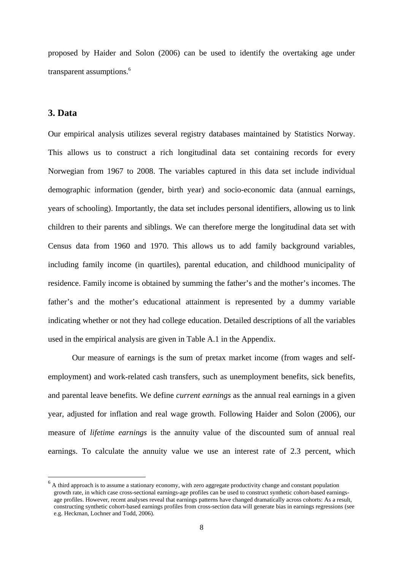proposed by Haider and Solon (2006) can be used to identify the overtaking age under transparent assumptions.<sup>6</sup>

#### **3. Data**

l

Our empirical analysis utilizes several registry databases maintained by Statistics Norway. This allows us to construct a rich longitudinal data set containing records for every Norwegian from 1967 to 2008. The variables captured in this data set include individual demographic information (gender, birth year) and socio-economic data (annual earnings, years of schooling). Importantly, the data set includes personal identifiers, allowing us to link children to their parents and siblings. We can therefore merge the longitudinal data set with Census data from 1960 and 1970. This allows us to add family background variables, including family income (in quartiles), parental education, and childhood municipality of residence. Family income is obtained by summing the father's and the mother's incomes. The father's and the mother's educational attainment is represented by a dummy variable indicating whether or not they had college education. Detailed descriptions of all the variables used in the empirical analysis are given in Table A.1 in the Appendix.

Our measure of earnings is the sum of pretax market income (from wages and selfemployment) and work-related cash transfers, such as unemployment benefits, sick benefits, and parental leave benefits. We define *current earnings* as the annual real earnings in a given year, adjusted for inflation and real wage growth. Following Haider and Solon (2006), our measure of *lifetime earnings* is the annuity value of the discounted sum of annual real earnings. To calculate the annuity value we use an interest rate of 2.3 percent, which

 $<sup>6</sup>$  A third approach is to assume a stationary economy, with zero aggregate productivity change and constant population</sup> growth rate, in which case cross-sectional earnings-age profiles can be used to construct synthetic cohort-based earningsage profiles. However, recent analyses reveal that earnings patterns have changed dramatically across cohorts: As a result, constructing synthetic cohort-based earnings profiles from cross-section data will generate bias in earnings regressions (see e.g. Heckman, Lochner and Todd, 2006).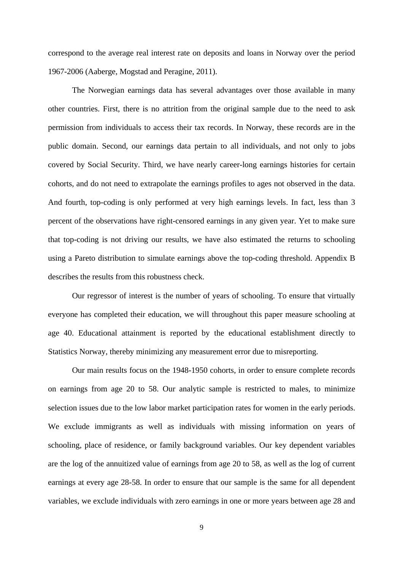correspond to the average real interest rate on deposits and loans in Norway over the period 1967-2006 (Aaberge, Mogstad and Peragine, 2011).

The Norwegian earnings data has several advantages over those available in many other countries. First, there is no attrition from the original sample due to the need to ask permission from individuals to access their tax records. In Norway, these records are in the public domain. Second, our earnings data pertain to all individuals, and not only to jobs covered by Social Security. Third, we have nearly career-long earnings histories for certain cohorts, and do not need to extrapolate the earnings profiles to ages not observed in the data. And fourth, top-coding is only performed at very high earnings levels. In fact, less than 3 percent of the observations have right-censored earnings in any given year. Yet to make sure that top-coding is not driving our results, we have also estimated the returns to schooling using a Pareto distribution to simulate earnings above the top-coding threshold. Appendix B describes the results from this robustness check.

Our regressor of interest is the number of years of schooling. To ensure that virtually everyone has completed their education, we will throughout this paper measure schooling at age 40. Educational attainment is reported by the educational establishment directly to Statistics Norway, thereby minimizing any measurement error due to misreporting.

Our main results focus on the 1948-1950 cohorts, in order to ensure complete records on earnings from age 20 to 58. Our analytic sample is restricted to males, to minimize selection issues due to the low labor market participation rates for women in the early periods. We exclude immigrants as well as individuals with missing information on years of schooling, place of residence, or family background variables. Our key dependent variables are the log of the annuitized value of earnings from age 20 to 58, as well as the log of current earnings at every age 28-58. In order to ensure that our sample is the same for all dependent variables, we exclude individuals with zero earnings in one or more years between age 28 and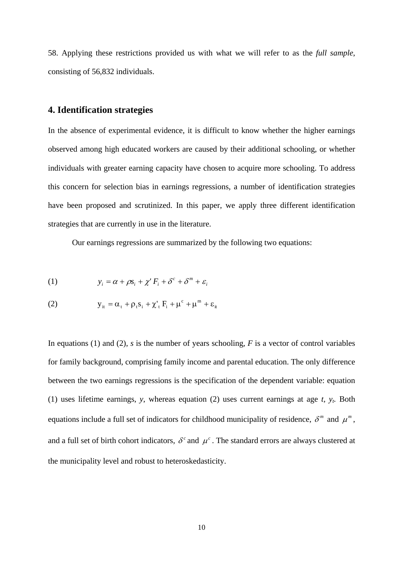58. Applying these restrictions provided us with what we will refer to as the *full sample*, consisting of 56,832 individuals.

#### **4. Identification strategies**

In the absence of experimental evidence, it is difficult to know whether the higher earnings observed among high educated workers are caused by their additional schooling, or whether individuals with greater earning capacity have chosen to acquire more schooling. To address this concern for selection bias in earnings regressions, a number of identification strategies have been proposed and scrutinized. In this paper, we apply three different identification strategies that are currently in use in the literature.

Our earnings regressions are summarized by the following two equations:

(1) 
$$
y_i = \alpha + \rho s_i + \chi' F_i + \delta^c + \delta^m + \varepsilon_i
$$

(2) 
$$
y_{it} = \alpha_t + \rho_t s_i + \chi'_t F_i + \mu^c + \mu^m + \varepsilon_{it}
$$

In equations (1) and (2), *s* is the number of years schooling, *F* is a vector of control variables for family background, comprising family income and parental education. The only difference between the two earnings regressions is the specification of the dependent variable: equation (1) uses lifetime earnings, *y*, whereas equation (2) uses current earnings at age  $t$ ,  $y_t$ . Both equations include a full set of indicators for childhood municipality of residence,  $\delta^m$  and  $\mu^m$ , and a full set of birth cohort indicators,  $\delta^c$  and  $\mu^c$ . The standard errors are always clustered at the municipality level and robust to heteroskedasticity.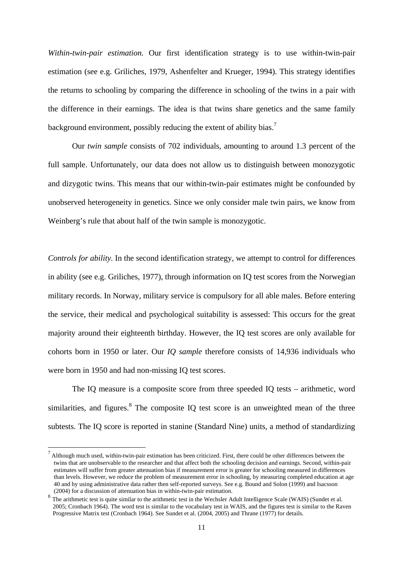*Within-twin-pair estimation.* Our first identification strategy is to use within-twin-pair estimation (see e.g. Griliches, 1979, Ashenfelter and Krueger, 1994). This strategy identifies the returns to schooling by comparing the difference in schooling of the twins in a pair with the difference in their earnings. The idea is that twins share genetics and the same family background environment, possibly reducing the extent of ability bias.<sup>7</sup>

Our *twin sample* consists of 702 individuals, amounting to around 1.3 percent of the full sample. Unfortunately, our data does not allow us to distinguish between monozygotic and dizygotic twins. This means that our within-twin-pair estimates might be confounded by unobserved heterogeneity in genetics. Since we only consider male twin pairs, we know from Weinberg's rule that about half of the twin sample is monozygotic.

*Controls for ability.* In the second identification strategy, we attempt to control for differences in ability (see e.g. Griliches, 1977), through information on IQ test scores from the Norwegian military records. In Norway, military service is compulsory for all able males. Before entering the service, their medical and psychological suitability is assessed: This occurs for the great majority around their eighteenth birthday. However, the IQ test scores are only available for cohorts born in 1950 or later. Our *IQ sample* therefore consists of 14,936 individuals who were born in 1950 and had non-missing IQ test scores.

The IQ measure is a composite score from three speeded IQ tests – arithmetic, word similarities, and figures. ${}^{8}$  The composite IQ test score is an unweighted mean of the three subtests. The IQ score is reported in stanine (Standard Nine) units, a method of standardizing

l

<sup>7</sup> Although much used, within-twin-pair estimation has been criticized. First, there could be other differences between the twins that are unobservable to the researcher and that affect both the schooling decision and earnings. Second, within-pair estimates will suffer from greater attenuation bias if measurement error is greater for schooling measured in differences than levels. However, we reduce the problem of measurement error in schooling, by measuring completed education at age 40 and by using administrative data rather then self-reported surveys. See e.g. Bound and Solon (1999) and Isacsson (2004) for a discussion of attenuation bias in within-twin-pair estimation.

<sup>8</sup> The arithmetic test is quite similar to the arithmetic test in the Wechsler Adult Intelligence Scale (WAIS) (Sundet et al. 2005; Cronbach 1964). The word test is similar to the vocabulary test in WAIS, and the figures test is similar to the Raven Progressive Matrix test (Cronbach 1964). See Sundet et al. (2004, 2005) and Thrane (1977) for details.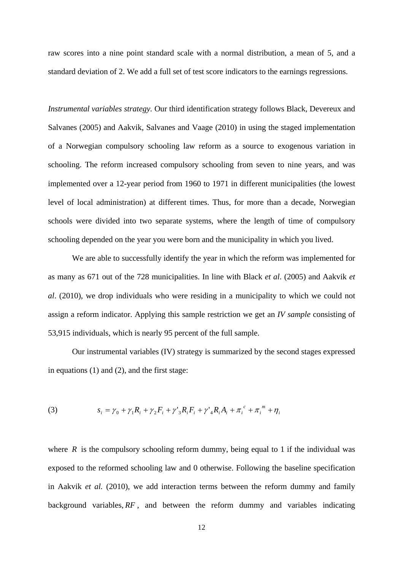raw scores into a nine point standard scale with a normal distribution, a mean of 5, and a standard deviation of 2. We add a full set of test score indicators to the earnings regressions.

*Instrumental variables strategy.* Our third identification strategy follows Black, Devereux and Salvanes (2005) and Aakvik, Salvanes and Vaage (2010) in using the staged implementation of a Norwegian compulsory schooling law reform as a source to exogenous variation in schooling. The reform increased compulsory schooling from seven to nine years, and was implemented over a 12-year period from 1960 to 1971 in different municipalities (the lowest level of local administration) at different times. Thus, for more than a decade, Norwegian schools were divided into two separate systems, where the length of time of compulsory schooling depended on the year you were born and the municipality in which you lived.

We are able to successfully identify the year in which the reform was implemented for as many as 671 out of the 728 municipalities. In line with Black *et al*. (2005) and Aakvik *et al*. (2010), we drop individuals who were residing in a municipality to which we could not assign a reform indicator. Applying this sample restriction we get an *IV sample* consisting of 53,915 individuals, which is nearly 95 percent of the full sample.

Our instrumental variables (IV) strategy is summarized by the second stages expressed in equations (1) and (2), and the first stage:

(3) 
$$
s_i = \gamma_0 + \gamma_1 R_i + \gamma_2 F_i + \gamma'_3 R_i F_i + \gamma'_4 R_i A_i + \pi_i^c + \pi_i^m + \eta_i
$$

where  $R$  is the compulsory schooling reform dummy, being equal to 1 if the individual was exposed to the reformed schooling law and 0 otherwise. Following the baseline specification in Aakvik *et al.* (2010), we add interaction terms between the reform dummy and family background variables, *RF* , and between the reform dummy and variables indicating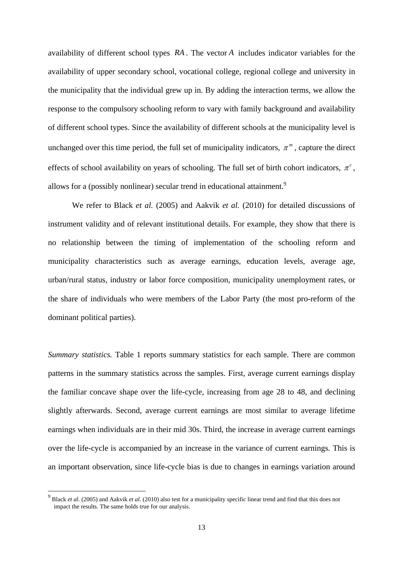availability of different school types *RA* . The vector *A* includes indicator variables for the availability of upper secondary school, vocational college, regional college and university in the municipality that the individual grew up in. By adding the interaction terms, we allow the response to the compulsory schooling reform to vary with family background and availability of different school types. Since the availability of different schools at the municipality level is unchanged over this time period, the full set of municipality indicators,  $\pi^m$ , capture the direct effects of school availability on years of schooling. The full set of birth cohort indicators,  $\pi$ <sup>c</sup>, allows for a (possibly nonlinear) secular trend in educational attainment.<sup>9</sup>

We refer to Black *et al.* (2005) and Aakvik *et al.* (2010) for detailed discussions of instrument validity and of relevant institutional details. For example, they show that there is no relationship between the timing of implementation of the schooling reform and municipality characteristics such as average earnings, education levels, average age, urban/rural status, industry or labor force composition, municipality unemployment rates, or the share of individuals who were members of the Labor Party (the most pro-reform of the dominant political parties).

*Summary statistics.* Table 1 reports summary statistics for each sample. There are common patterns in the summary statistics across the samples. First, average current earnings display the familiar concave shape over the life-cycle, increasing from age 28 to 48, and declining slightly afterwards. Second, average current earnings are most similar to average lifetime earnings when individuals are in their mid 30s. Third, the increase in average current earnings over the life-cycle is accompanied by an increase in the variance of current earnings. This is an important observation, since life-cycle bias is due to changes in earnings variation around

l

<sup>9</sup> Black *et al*. (2005) and Aakvik *et al.* (2010) also test for a municipality specific linear trend and find that this does not impact the results. The same holds true for our analysis.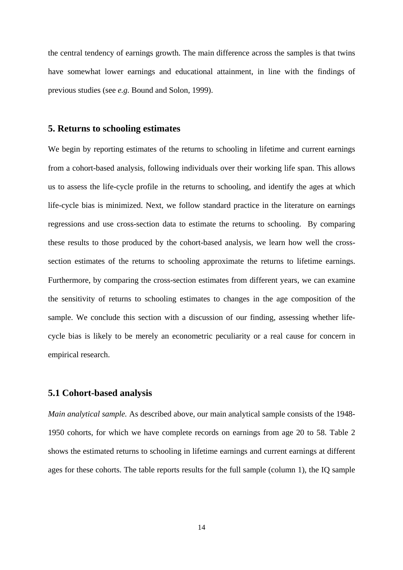the central tendency of earnings growth. The main difference across the samples is that twins have somewhat lower earnings and educational attainment, in line with the findings of previous studies (see *e.g.* Bound and Solon, 1999).

#### **5. Returns to schooling estimates**

We begin by reporting estimates of the returns to schooling in lifetime and current earnings from a cohort-based analysis, following individuals over their working life span. This allows us to assess the life-cycle profile in the returns to schooling, and identify the ages at which life-cycle bias is minimized. Next, we follow standard practice in the literature on earnings regressions and use cross-section data to estimate the returns to schooling. By comparing these results to those produced by the cohort-based analysis, we learn how well the crosssection estimates of the returns to schooling approximate the returns to lifetime earnings. Furthermore, by comparing the cross-section estimates from different years, we can examine the sensitivity of returns to schooling estimates to changes in the age composition of the sample. We conclude this section with a discussion of our finding, assessing whether lifecycle bias is likely to be merely an econometric peculiarity or a real cause for concern in empirical research.

#### **5.1 Cohort-based analysis**

*Main analytical sample.* As described above, our main analytical sample consists of the 1948- 1950 cohorts, for which we have complete records on earnings from age 20 to 58. Table 2 shows the estimated returns to schooling in lifetime earnings and current earnings at different ages for these cohorts. The table reports results for the full sample (column 1), the IQ sample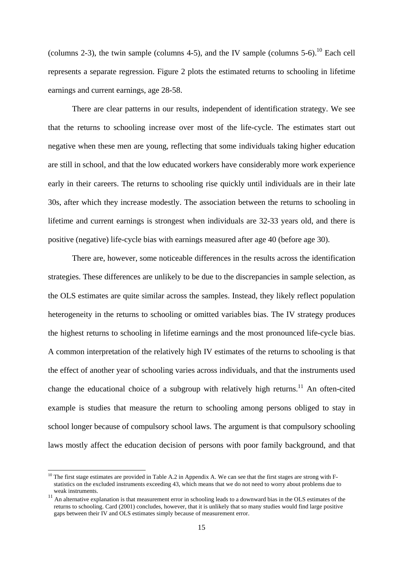(columns 2-3), the twin sample (columns 4-5), and the IV sample (columns 5-6).<sup>10</sup> Each cell represents a separate regression. Figure 2 plots the estimated returns to schooling in lifetime earnings and current earnings, age 28-58.

There are clear patterns in our results, independent of identification strategy. We see that the returns to schooling increase over most of the life-cycle. The estimates start out negative when these men are young, reflecting that some individuals taking higher education are still in school, and that the low educated workers have considerably more work experience early in their careers. The returns to schooling rise quickly until individuals are in their late 30s, after which they increase modestly. The association between the returns to schooling in lifetime and current earnings is strongest when individuals are 32-33 years old, and there is positive (negative) life-cycle bias with earnings measured after age 40 (before age 30).

There are, however, some noticeable differences in the results across the identification strategies. These differences are unlikely to be due to the discrepancies in sample selection, as the OLS estimates are quite similar across the samples. Instead, they likely reflect population heterogeneity in the returns to schooling or omitted variables bias. The IV strategy produces the highest returns to schooling in lifetime earnings and the most pronounced life-cycle bias. A common interpretation of the relatively high IV estimates of the returns to schooling is that the effect of another year of schooling varies across individuals, and that the instruments used change the educational choice of a subgroup with relatively high returns.<sup>11</sup> An often-cited example is studies that measure the return to schooling among persons obliged to stay in school longer because of compulsory school laws. The argument is that compulsory schooling laws mostly affect the education decision of persons with poor family background, and that

l

 $10$  The first stage estimates are provided in Table A.2 in Appendix A. We can see that the first stages are strong with Fstatistics on the excluded instruments exceeding 43, which means that we do not need to worry about problems due to weak instruments.

<sup>&</sup>lt;sup>11</sup> An alternative explanation is that measurement error in schooling leads to a downward bias in the OLS estimates of the returns to schooling. Card (2001) concludes, however, that it is unlikely that so many studies would find large positive gaps between their IV and OLS estimates simply because of measurement error.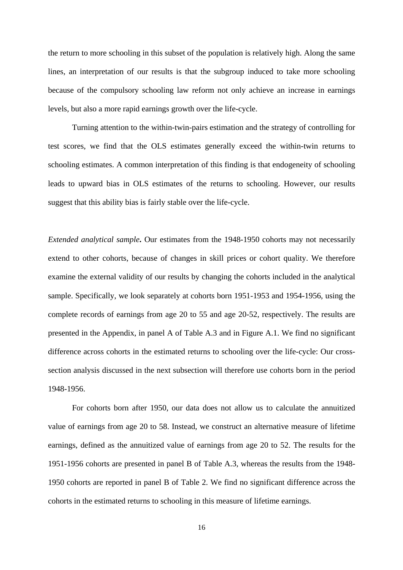the return to more schooling in this subset of the population is relatively high. Along the same lines, an interpretation of our results is that the subgroup induced to take more schooling because of the compulsory schooling law reform not only achieve an increase in earnings levels, but also a more rapid earnings growth over the life-cycle.

Turning attention to the within-twin-pairs estimation and the strategy of controlling for test scores, we find that the OLS estimates generally exceed the within-twin returns to schooling estimates. A common interpretation of this finding is that endogeneity of schooling leads to upward bias in OLS estimates of the returns to schooling. However, our results suggest that this ability bias is fairly stable over the life-cycle.

*Extended analytical sample***.** Our estimates from the 1948-1950 cohorts may not necessarily extend to other cohorts, because of changes in skill prices or cohort quality. We therefore examine the external validity of our results by changing the cohorts included in the analytical sample. Specifically, we look separately at cohorts born 1951-1953 and 1954-1956, using the complete records of earnings from age 20 to 55 and age 20-52, respectively. The results are presented in the Appendix, in panel A of Table A.3 and in Figure A.1. We find no significant difference across cohorts in the estimated returns to schooling over the life-cycle: Our crosssection analysis discussed in the next subsection will therefore use cohorts born in the period 1948-1956.

 For cohorts born after 1950, our data does not allow us to calculate the annuitized value of earnings from age 20 to 58. Instead, we construct an alternative measure of lifetime earnings, defined as the annuitized value of earnings from age 20 to 52. The results for the 1951-1956 cohorts are presented in panel B of Table A.3, whereas the results from the 1948- 1950 cohorts are reported in panel B of Table 2. We find no significant difference across the cohorts in the estimated returns to schooling in this measure of lifetime earnings.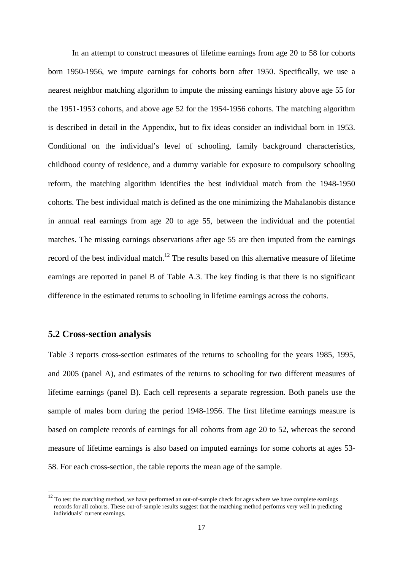In an attempt to construct measures of lifetime earnings from age 20 to 58 for cohorts born 1950-1956, we impute earnings for cohorts born after 1950. Specifically, we use a nearest neighbor matching algorithm to impute the missing earnings history above age 55 for the 1951-1953 cohorts, and above age 52 for the 1954-1956 cohorts. The matching algorithm is described in detail in the Appendix, but to fix ideas consider an individual born in 1953. Conditional on the individual's level of schooling, family background characteristics, childhood county of residence, and a dummy variable for exposure to compulsory schooling reform, the matching algorithm identifies the best individual match from the 1948-1950 cohorts. The best individual match is defined as the one minimizing the Mahalanobis distance in annual real earnings from age 20 to age 55, between the individual and the potential matches. The missing earnings observations after age 55 are then imputed from the earnings record of the best individual match.<sup>12</sup> The results based on this alternative measure of lifetime earnings are reported in panel B of Table A.3. The key finding is that there is no significant difference in the estimated returns to schooling in lifetime earnings across the cohorts.

#### **5.2 Cross-section analysis**

l

Table 3 reports cross-section estimates of the returns to schooling for the years 1985, 1995, and 2005 (panel A), and estimates of the returns to schooling for two different measures of lifetime earnings (panel B). Each cell represents a separate regression. Both panels use the sample of males born during the period 1948-1956. The first lifetime earnings measure is based on complete records of earnings for all cohorts from age 20 to 52, whereas the second measure of lifetime earnings is also based on imputed earnings for some cohorts at ages 53- 58. For each cross-section, the table reports the mean age of the sample.

 $12$  To test the matching method, we have performed an out-of-sample check for ages where we have complete earnings records for all cohorts. These out-of-sample results suggest that the matching method performs very well in predicting individuals' current earnings.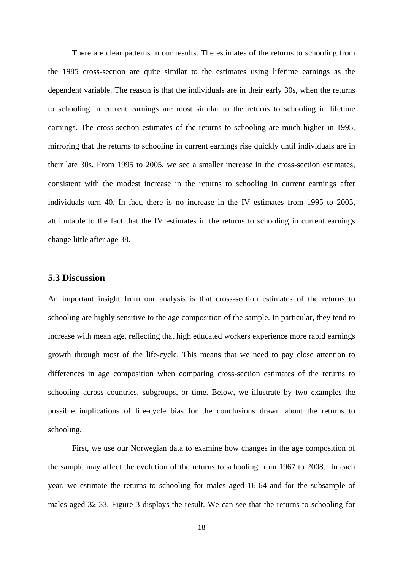There are clear patterns in our results. The estimates of the returns to schooling from the 1985 cross-section are quite similar to the estimates using lifetime earnings as the dependent variable. The reason is that the individuals are in their early 30s, when the returns to schooling in current earnings are most similar to the returns to schooling in lifetime earnings. The cross-section estimates of the returns to schooling are much higher in 1995, mirroring that the returns to schooling in current earnings rise quickly until individuals are in their late 30s. From 1995 to 2005, we see a smaller increase in the cross-section estimates, consistent with the modest increase in the returns to schooling in current earnings after individuals turn 40. In fact, there is no increase in the IV estimates from 1995 to 2005, attributable to the fact that the IV estimates in the returns to schooling in current earnings change little after age 38.

#### **5.3 Discussion**

An important insight from our analysis is that cross-section estimates of the returns to schooling are highly sensitive to the age composition of the sample. In particular, they tend to increase with mean age, reflecting that high educated workers experience more rapid earnings growth through most of the life-cycle. This means that we need to pay close attention to differences in age composition when comparing cross-section estimates of the returns to schooling across countries, subgroups, or time. Below, we illustrate by two examples the possible implications of life-cycle bias for the conclusions drawn about the returns to schooling.

First, we use our Norwegian data to examine how changes in the age composition of the sample may affect the evolution of the returns to schooling from 1967 to 2008. In each year, we estimate the returns to schooling for males aged 16-64 and for the subsample of males aged 32-33. Figure 3 displays the result. We can see that the returns to schooling for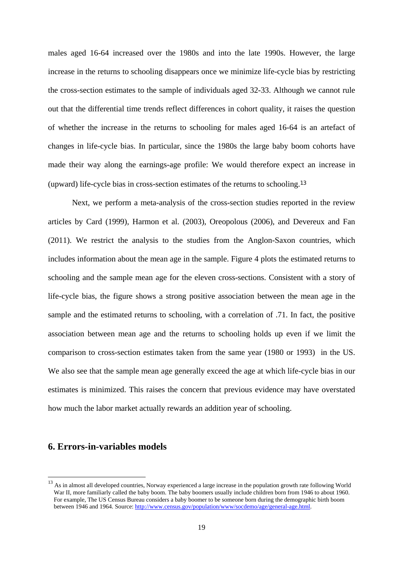males aged 16-64 increased over the 1980s and into the late 1990s. However, the large increase in the returns to schooling disappears once we minimize life-cycle bias by restricting the cross-section estimates to the sample of individuals aged 32-33. Although we cannot rule out that the differential time trends reflect differences in cohort quality, it raises the question of whether the increase in the returns to schooling for males aged 16-64 is an artefact of changes in life-cycle bias. In particular, since the 1980s the large baby boom cohorts have made their way along the earnings-age profile: We would therefore expect an increase in (upward) life-cycle bias in cross-section estimates of the returns to schooling.<sup>13</sup>

Next, we perform a meta-analysis of the cross-section studies reported in the review articles by Card (1999), Harmon et al. (2003), Oreopolous (2006), and Devereux and Fan (2011). We restrict the analysis to the studies from the Anglon-Saxon countries, which includes information about the mean age in the sample. Figure 4 plots the estimated returns to schooling and the sample mean age for the eleven cross-sections. Consistent with a story of life-cycle bias, the figure shows a strong positive association between the mean age in the sample and the estimated returns to schooling, with a correlation of .71. In fact, the positive association between mean age and the returns to schooling holds up even if we limit the comparison to cross-section estimates taken from the same year (1980 or 1993) in the US. We also see that the sample mean age generally exceed the age at which life-cycle bias in our estimates is minimized. This raises the concern that previous evidence may have overstated how much the labor market actually rewards an addition year of schooling.

#### **6. Errors-in-variables models**

l

<sup>&</sup>lt;sup>13</sup> As in almost all developed countries, Norway experienced a large increase in the population growth rate following World War II, more familiarly called the baby boom. The baby boomers usually include children born from 1946 to about 1960. For example, The US Census Bureau considers a baby boomer to be someone born during the demographic birth boom between 1946 and 1964. Source: http://www.census.gov/population/www/socdemo/age/general-age.html.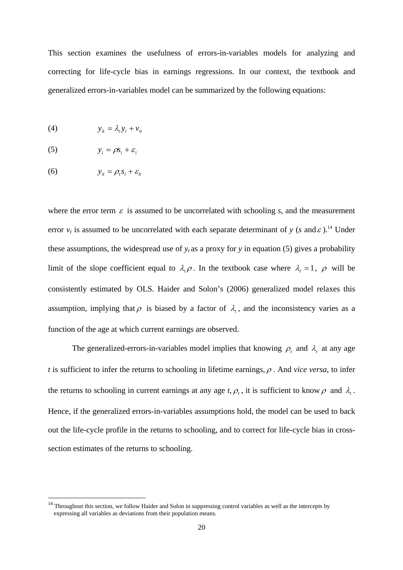This section examines the usefulness of errors-in-variables models for analyzing and correcting for life-cycle bias in earnings regressions. In our context, the textbook and generalized errors-in-variables model can be summarized by the following equations:

$$
(4) \t y_{it} = \lambda_t y_i + v_{it}
$$

$$
(5) \t\t y_i = \rho s_i + \varepsilon_i
$$

$$
(6) \t y_{it} = \rho_t s_i + \varepsilon_{it}
$$

l

where the error term  $\varepsilon$  is assumed to be uncorrelated with schooling *s*, and the measurement error  $v_t$  is assumed to be uncorrelated with each separate determinant of *y* (*s* and  $\varepsilon$ ).<sup>14</sup> Under these assumptions, the widespread use of  $v_t$  as a proxy for *y* in equation (5) gives a probability limit of the slope coefficient equal to  $\lambda_t \rho$ . In the textbook case where  $\lambda_t = 1$ ,  $\rho$  will be consistently estimated by OLS. Haider and Solon's (2006) generalized model relaxes this assumption, implying that  $\rho$  is biased by a factor of  $\lambda_t$ , and the inconsistency varies as a function of the age at which current earnings are observed.

The generalized-errors-in-variables model implies that knowing  $\rho_t$  and  $\lambda_t$  at any age *t* is sufficient to infer the returns to schooling in lifetime earnings,  $\rho$ . And *vice versa*, to infer the returns to schooling in current earnings at any age *t*,  $\rho_t$ , it is sufficient to know  $\rho$  and  $\lambda_t$ . Hence, if the generalized errors-in-variables assumptions hold, the model can be used to back out the life-cycle profile in the returns to schooling, and to correct for life-cycle bias in crosssection estimates of the returns to schooling.

 $14$  Throughout this section, we follow Haider and Solon in suppressing control variables as well as the intercepts by expressing all variables as deviations from their population means.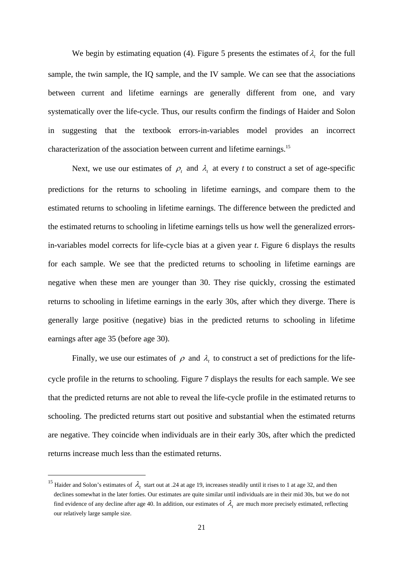We begin by estimating equation (4). Figure 5 presents the estimates of  $\lambda_t$  for the full sample, the twin sample, the IQ sample, and the IV sample. We can see that the associations between current and lifetime earnings are generally different from one, and vary systematically over the life-cycle. Thus, our results confirm the findings of Haider and Solon in suggesting that the textbook errors-in-variables model provides an incorrect characterization of the association between current and lifetime earnings.<sup>15</sup>

Next, we use our estimates of  $\rho_t$  and  $\lambda_t$  at every *t* to construct a set of age-specific predictions for the returns to schooling in lifetime earnings, and compare them to the estimated returns to schooling in lifetime earnings. The difference between the predicted and the estimated returns to schooling in lifetime earnings tells us how well the generalized errorsin-variables model corrects for life-cycle bias at a given year *t*. Figure 6 displays the results for each sample. We see that the predicted returns to schooling in lifetime earnings are negative when these men are younger than 30. They rise quickly, crossing the estimated returns to schooling in lifetime earnings in the early 30s, after which they diverge. There is generally large positive (negative) bias in the predicted returns to schooling in lifetime earnings after age 35 (before age 30).

Finally, we use our estimates of  $\rho$  and  $\lambda_t$  to construct a set of predictions for the lifecycle profile in the returns to schooling. Figure 7 displays the results for each sample. We see that the predicted returns are not able to reveal the life-cycle profile in the estimated returns to schooling. The predicted returns start out positive and substantial when the estimated returns are negative. They coincide when individuals are in their early 30s, after which the predicted returns increase much less than the estimated returns.

l

<sup>&</sup>lt;sup>15</sup> Haider and Solon's estimates of  $\lambda$ , start out at .24 at age 19, increases steadily until it rises to 1 at age 32, and then declines somewhat in the later forties. Our estimates are quite similar until individuals are in their mid 30s, but we do not find evidence of any decline after age 40. In addition, our estimates of  $\lambda$ , are much more precisely estimated, reflecting our relatively large sample size.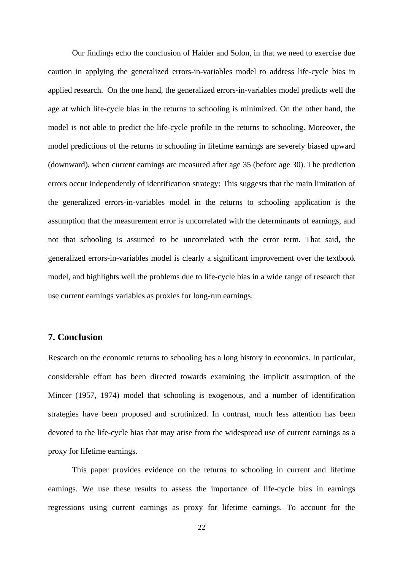Our findings echo the conclusion of Haider and Solon, in that we need to exercise due caution in applying the generalized errors-in-variables model to address life-cycle bias in applied research. On the one hand, the generalized errors-in-variables model predicts well the age at which life-cycle bias in the returns to schooling is minimized. On the other hand, the model is not able to predict the life-cycle profile in the returns to schooling. Moreover, the model predictions of the returns to schooling in lifetime earnings are severely biased upward (downward), when current earnings are measured after age 35 (before age 30). The prediction errors occur independently of identification strategy: This suggests that the main limitation of the generalized errors-in-variables model in the returns to schooling application is the assumption that the measurement error is uncorrelated with the determinants of earnings, and not that schooling is assumed to be uncorrelated with the error term. That said, the generalized errors-in-variables model is clearly a significant improvement over the textbook model, and highlights well the problems due to life-cycle bias in a wide range of research that use current earnings variables as proxies for long-run earnings.

#### **7. Conclusion**

Research on the economic returns to schooling has a long history in economics. In particular, considerable effort has been directed towards examining the implicit assumption of the Mincer (1957, 1974) model that schooling is exogenous, and a number of identification strategies have been proposed and scrutinized. In contrast, much less attention has been devoted to the life-cycle bias that may arise from the widespread use of current earnings as a proxy for lifetime earnings.

This paper provides evidence on the returns to schooling in current and lifetime earnings. We use these results to assess the importance of life-cycle bias in earnings regressions using current earnings as proxy for lifetime earnings. To account for the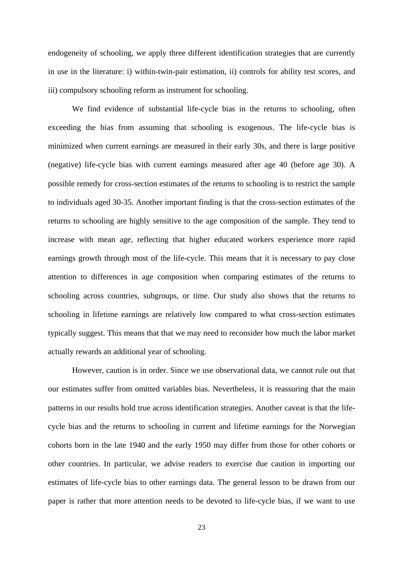endogeneity of schooling, we apply three different identification strategies that are currently in use in the literature: i) within-twin-pair estimation, ii) controls for ability test scores, and iii) compulsory schooling reform as instrument for schooling.

We find evidence of substantial life-cycle bias in the returns to schooling, often exceeding the bias from assuming that schooling is exogenous. The life-cycle bias is minimized when current earnings are measured in their early 30s, and there is large positive (negative) life-cycle bias with current earnings measured after age 40 (before age 30). A possible remedy for cross-section estimates of the returns to schooling is to restrict the sample to individuals aged 30-35. Another important finding is that the cross-section estimates of the returns to schooling are highly sensitive to the age composition of the sample. They tend to increase with mean age, reflecting that higher educated workers experience more rapid earnings growth through most of the life-cycle. This means that it is necessary to pay close attention to differences in age composition when comparing estimates of the returns to schooling across countries, subgroups, or time. Our study also shows that the returns to schooling in lifetime earnings are relatively low compared to what cross-section estimates typically suggest. This means that that we may need to reconsider how much the labor market actually rewards an additional year of schooling.

However, caution is in order. Since we use observational data, we cannot rule out that our estimates suffer from omitted variables bias. Nevertheless, it is reassuring that the main patterns in our results hold true across identification strategies. Another caveat is that the lifecycle bias and the returns to schooling in current and lifetime earnings for the Norwegian cohorts born in the late 1940 and the early 1950 may differ from those for other cohorts or other countries. In particular, we advise readers to exercise due caution in importing our estimates of life-cycle bias to other earnings data. The general lesson to be drawn from our paper is rather that more attention needs to be devoted to life-cycle bias, if we want to use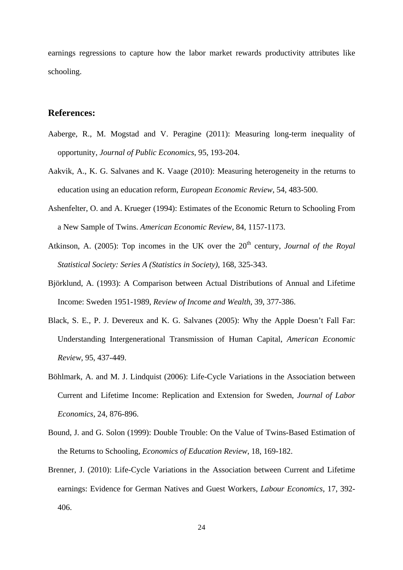earnings regressions to capture how the labor market rewards productivity attributes like schooling.

#### **References:**

- Aaberge, R., M. Mogstad and V. Peragine (2011): Measuring long-term inequality of opportunity, *Journal of Public Economics*, 95, 193-204.
- Aakvik, A., K. G. Salvanes and K. Vaage (2010): Measuring heterogeneity in the returns to education using an education reform, *European Economic Review*, 54, 483-500.
- Ashenfelter, O. and A. Krueger (1994): Estimates of the Economic Return to Schooling From a New Sample of Twins. *American Economic Review*, 84, 1157-1173.
- Atkinson, A. (2005): Top incomes in the UK over the 20<sup>th</sup> century, *Journal of the Royal Statistical Society: Series A (Statistics in Society)*, 168, 325-343.
- Björklund, A. (1993): A Comparison between Actual Distributions of Annual and Lifetime Income: Sweden 1951-1989, *Review of Income and Wealth*, 39, 377-386.
- Black, S. E., P. J. Devereux and K. G. Salvanes (2005): Why the Apple Doesn't Fall Far: Understanding Intergenerational Transmission of Human Capital, *American Economic Review*, 95, 437-449.
- Böhlmark, A. and M. J. Lindquist (2006): Life-Cycle Variations in the Association between Current and Lifetime Income: Replication and Extension for Sweden, *Journal of Labor Economics*, 24, 876-896.
- Bound, J. and G. Solon (1999): Double Trouble: On the Value of Twins-Based Estimation of the Returns to Schooling, *Economics of Education Review*, 18, 169-182.
- Brenner, J. (2010): Life-Cycle Variations in the Association between Current and Lifetime earnings: Evidence for German Natives and Guest Workers, *Labour Economics*, 17, 392- 406.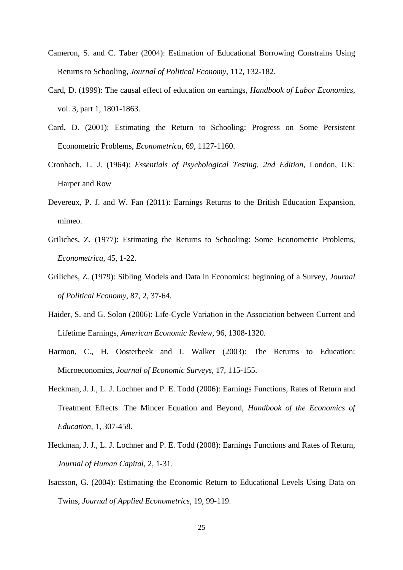- Cameron, S. and C. Taber (2004): Estimation of Educational Borrowing Constrains Using Returns to Schooling, *Journal of Political Economy*, 112, 132-182.
- Card, D. (1999): The causal effect of education on earnings, *Handbook of Labor Economics*, vol. 3, part 1, 1801-1863.
- Card, D. (2001): Estimating the Return to Schooling: Progress on Some Persistent Econometric Problems, *Econometrica*, 69, 1127-1160.
- Cronbach, L. J. (1964): *Essentials of Psychological Testing, 2nd Edition*, London, UK: Harper and Row
- Devereux, P. J. and W. Fan (2011): Earnings Returns to the British Education Expansion, mimeo.
- Griliches, Z. (1977): Estimating the Returns to Schooling: Some Econometric Problems, *Econometrica*, 45, 1-22.
- Griliches, Z. (1979): Sibling Models and Data in Economics: beginning of a Survey, *Journal of Political Economy*, 87, 2, 37-64.
- Haider, S. and G. Solon (2006): Life-Cycle Variation in the Association between Current and Lifetime Earnings, *American Economic Review*, 96, 1308-1320.
- Harmon, C., H. Oosterbeek and I. Walker (2003): The Returns to Education: Microeconomics, *Journal of Economic Surveys*, 17, 115-155.
- Heckman, J. J., L. J. Lochner and P. E. Todd (2006): Earnings Functions, Rates of Return and Treatment Effects: The Mincer Equation and Beyond, *Handbook of the Economics of Education*, 1, 307-458.
- Heckman, J. J., L. J. Lochner and P. E. Todd (2008): Earnings Functions and Rates of Return, *Journal of Human Capital*, 2, 1-31.
- Isacsson, G. (2004): Estimating the Economic Return to Educational Levels Using Data on Twins, *Journal of Applied Econometrics*, 19, 99-119.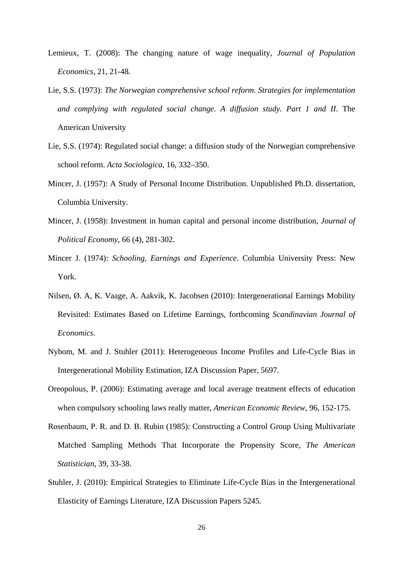- Lemieux, T. (2008): The changing nature of wage inequality, *Journal of Population Economics*, 21, 21-48.
- Lie, S.S. (1973): *The Norwegian comprehensive school reform. Strategies for implementation and complying with regulated social change. A diffusion study. Part 1 and II*. The American University
- Lie, S.S. (1974): Regulated social change: a diffusion study of the Norwegian comprehensive school reform. *Acta Sociologica,* 16, 332–350.
- Mincer, J. (1957): A Study of Personal Income Distribution. Unpublished Ph.D. dissertation, Columbia University.
- Mincer, J. (1958): Investment in human capital and personal income distribution, *Journal of Political Economy*, 66 (4), 281-302.
- Mincer J. (1974): *Schooling, Earnings and Experience*. Columbia University Press: New York.
- Nilsen, Ø. A, K. Vaage, A. Aakvik, K. Jacobsen (2010): Intergenerational Earnings Mobility Revisited: Estimates Based on Lifetime Earnings, forthcoming *Scandinavian Journal of Economics.*
- Nybom, M. and J. Stuhler (2011): Heterogeneous Income Profiles and Life-Cycle Bias in Intergenerational Mobility Estimation, IZA Discussion Paper, 5697.
- Oreopolous, P. (2006): Estimating average and local average treatment effects of education when compulsory schooling laws really matter, *American Economic Review*, 96, 152-175.
- Rosenbaum, P. R. and D. B. Rubin (1985): Constructing a Control Group Using Multivariate Matched Sampling Methods That Incorporate the Propensity Score, *The American Statistician*, 39, 33-38.
- Stuhler, J. (2010): Empirical Strategies to Eliminate Life-Cycle Bias in the Intergenerational Elasticity of Earnings Literature, IZA Discussion Papers 5245.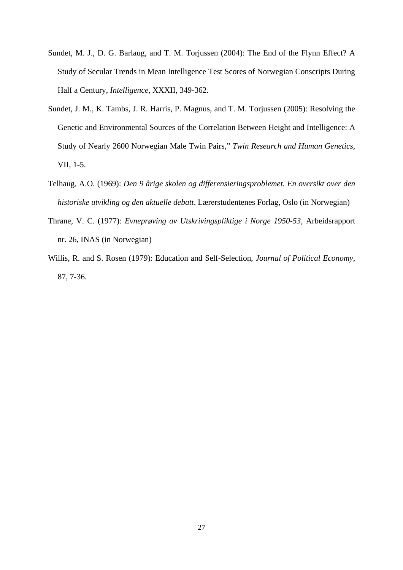- Sundet, M. J., D. G. Barlaug, and T. M. Torjussen (2004): The End of the Flynn Effect? A Study of Secular Trends in Mean Intelligence Test Scores of Norwegian Conscripts During Half a Century, *Intelligence*, XXXII, 349-362.
- Sundet, J. M., K. Tambs, J. R. Harris, P. Magnus, and T. M. Torjussen (2005): Resolving the Genetic and Environmental Sources of the Correlation Between Height and Intelligence: A Study of Nearly 2600 Norwegian Male Twin Pairs," *Twin Research and Human Genetics*, VII, 1-5.
- Telhaug, A.O. (1969): *Den 9 årige skolen og differensieringsproblemet. En oversikt over den historiske utvikling og den aktuelle debatt*. Lærerstudentenes Forlag, Oslo (in Norwegian)
- Thrane, V. C. (1977): *Evneprøving av Utskrivingspliktige i Norge 1950-53*, Arbeidsrapport nr. 26, INAS (in Norwegian)
- Willis, R. and S. Rosen (1979): Education and Self-Selection, *Journal of Political Economy*, 87, 7-36.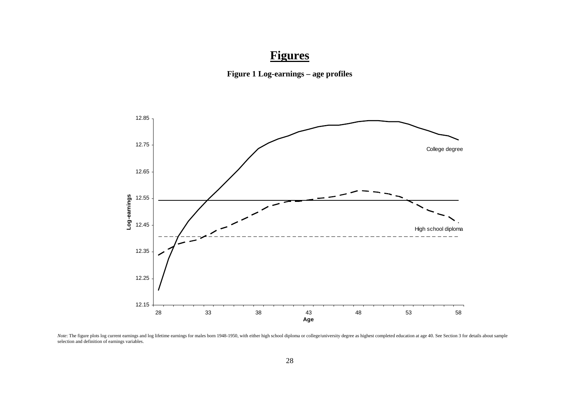# **Figures**





Note: The figure plots log current earnings and log lifetime earnings for males born 1948-1950, with either high school diploma or college/university degree as highest completed education at age 40. See Section 3 for detai selection and definition of earnings variables.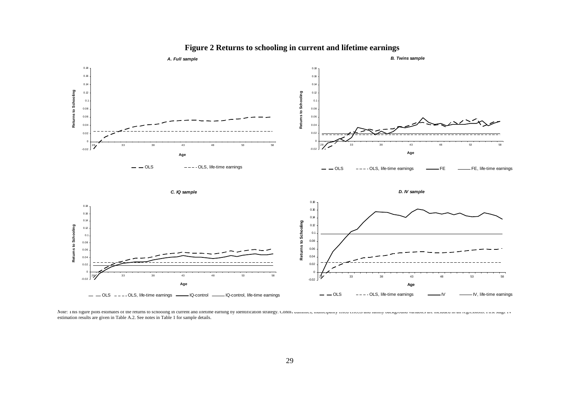

**Figure 2 Returns to schooling in current and lifetime earnings** 

Note: This figure plots estimates of the returns to schooling in current and lifetime earning by identification strategy. Cohoti uminities, inumelpanty incu crieets and rainity background variables are included in an regre estimation results are given in Table A.2. See notes in Table 1 for sample details.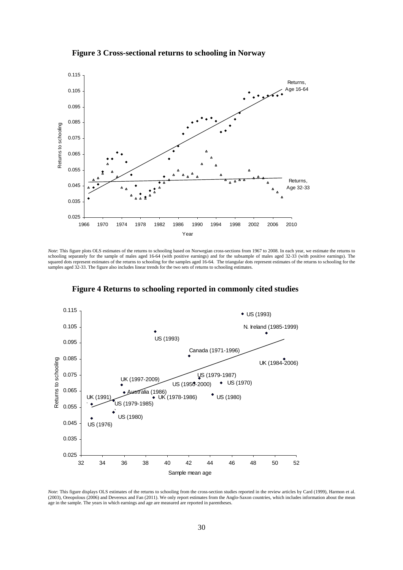



*Note*: This figure plots OLS estimates of the returns to schooling based on Norwegian cross-sections from 1967 to 2008. In each year, we estimate the returns to schooling separately for the sample of males aged 16-64 (with positive earnings) and for the subsample of males aged 32-33 (with positive earnings). The squared dots represent estimates of the returns to schooling for the samples aged 16-64. The triangular dots represent estimates of the returns to schooling for the samples aged 32-33. The figure also includes linear trends for the two sets of returns to schooling estimates.



**Figure 4 Returns to schooling reported in commonly cited studies** 

*Note*: This figure displays OLS estimates of the returns to schooling from the cross-section studies reported in the review articles by Card (1999), Harmon et al. (2003), Oreopolous (2006) and Devereux and Fan (2011). We only report estimates from the Anglo-Saxon countries, which includes information about the mean age in the sample. The years in which earnings and age are measured are reported in parentheses.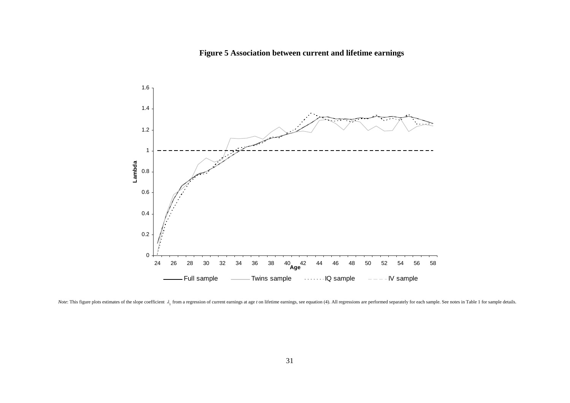## **Figure 5 Association between current and lifetime earnings**



*Note*: This figure plots estimates of the slope coefficient  $\lambda_i$  from a regression of current earnings at age t on lifetime earnings, see equation (4). All regressions are performed separately for each sample. See notes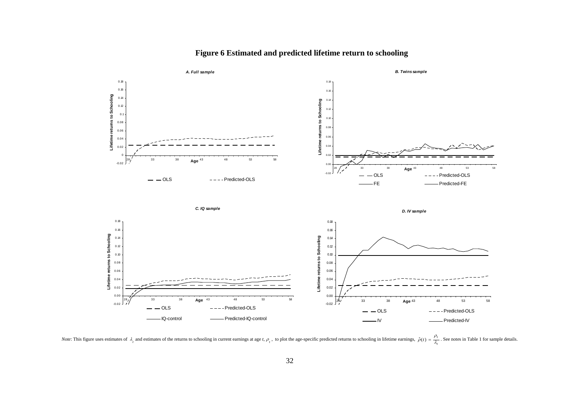

#### **Figure 6 Estimated and predicted lifetime return to schooling**

*Note*: This figure uses estimates of  $\lambda_i$  and estimates of the returns to schooling in current earnings at age t,  $\rho_i$ , to plot the age-specific predicted returns to schooling in lifetime earnings,  $\hat{\rho}(t) = \frac{1}{\lambda_i}$ *t*) =  $\frac{\mu_l}{\lambda_l}$  $\hat{\rho}(t) = \frac{\rho_t}{2}$ . See notes in Table 1 for sample details.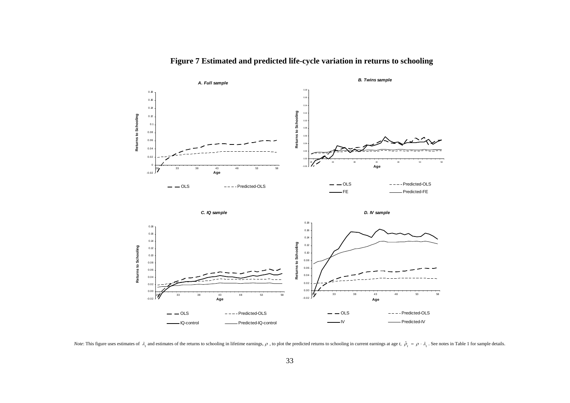

**Figure 7 Estimated and predicted life-cycle variation in returns to schooling** 

*Note*: This figure uses estimates of  $\lambda_i$  and estimates of the returns to schooling in lifetime earnings,  $\rho$ , to plot the predicted returns to schooling in current earnings at age t,  $\hat{\rho}_t = \rho \cdot \lambda_i$ . See notes in Tab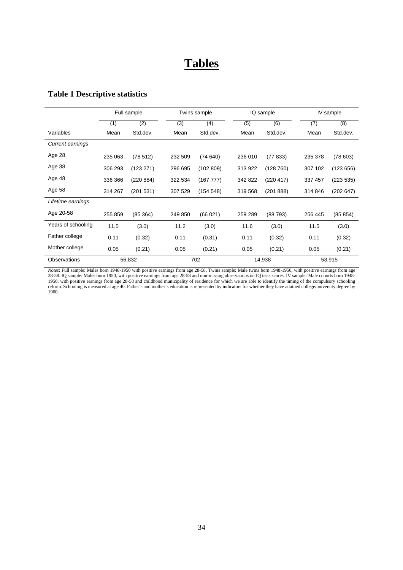## **Tables**

## **Table 1 Descriptive statistics**

|                         | Full sample |           |         | Twins sample |         | IQ sample |         | IV sample |
|-------------------------|-------------|-----------|---------|--------------|---------|-----------|---------|-----------|
|                         | (1)         | (2)       | (3)     | (4)          | (5)     | (6)       | (7)     | (8)       |
| Variables               | Mean        | Std.dev.  | Mean    | Std.dev.     | Mean    | Std.dev.  | Mean    | Std.dev.  |
| <b>Current earnings</b> |             |           |         |              |         |           |         |           |
| Age 28                  | 235 063     | (78512)   | 232 509 | (74640)      | 236 010 | (77833)   | 235 378 | (78603)   |
| Age 38                  | 306 293     | (123 271) | 296 695 | (102 809)    | 313 922 | (128760)  | 307 102 | (123656)  |
| Age 48                  | 336 366     | (220 884) | 322 534 | (167 777)    | 342 822 | (220 417) | 337 457 | (223 535) |
| Age 58                  | 314 267     | (201531)  | 307 529 | (154548)     | 319 568 | (201888)  | 314 846 | (202647)  |
| Lifetime earnings       |             |           |         |              |         |           |         |           |
| Age 20-58               | 255 859     | (85364)   | 249 850 | (66021)      | 259 289 | (88793)   | 256 445 | (85 854)  |
| Years of schooling      | 11.5        | (3.0)     | 11.2    | (3.0)        | 11.6    | (3.0)     | 11.5    | (3.0)     |
| Father college          | 0.11        | (0.32)    | 0.11    | (0.31)       | 0.11    | (0.32)    | 0.11    | (0.32)    |
| Mother college          | 0.05        | (0.21)    | 0.05    | (0.21)       | 0.05    | (0.21)    | 0.05    | (0.21)    |
| Observations            |             | 56,832    |         | 702          |         | 14,938    |         | 53,915    |

*Notes*: Full sample: Males born 1948-1950 with positive earnings from age 28-58. Twins sample: Male twins born 1948-1950, with positive earnings from age 28-58. IQ sample: Males born 1950, with positive earnings from age 28-58 and non-missing observations on IQ tests scores. IV sample: Male cohorts born 1948- 1950, with positive earnings from age 28-58 and childhood municipality of residence for which we are able to identify the timing of the compulsory schooling reform. Schooling is measured at age 40. Father's and mother's education is represented by indicators for whether they have attained college/university degree by 1960.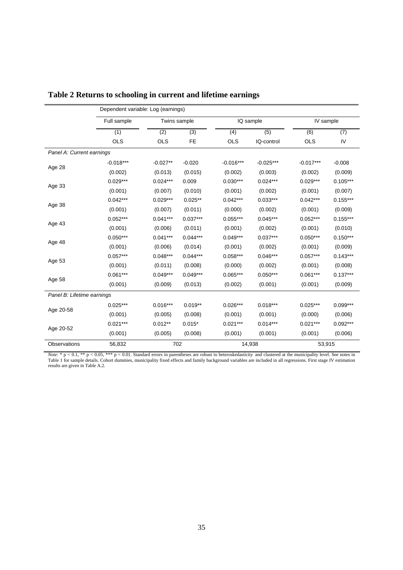|                            | Full sample | Twins sample |            |             | IQ sample   | IV sample   |            |  |
|----------------------------|-------------|--------------|------------|-------------|-------------|-------------|------------|--|
|                            | (1)         | (3)<br>(2)   |            | (4)         | (5)         | (6)         | (7)        |  |
|                            | <b>OLS</b>  | <b>OLS</b>   | FE         | <b>OLS</b>  | IQ-control  | <b>OLS</b>  | IV         |  |
| Panel A: Current earnings  |             |              |            |             |             |             |            |  |
|                            | $-0.018***$ | $-0.027**$   | $-0.020$   | $-0.016***$ | $-0.025***$ | $-0.017***$ | $-0.008$   |  |
| Age 28                     | (0.002)     | (0.013)      | (0.015)    | (0.002)     | (0.003)     | (0.002)     | (0.009)    |  |
|                            | $0.029***$  | $0.024***$   | 0.009      | $0.030***$  | $0.024***$  | $0.029***$  | $0.105***$ |  |
| Age 33                     | (0.001)     | (0.007)      | (0.010)    | (0.001)     | (0.002)     | (0.001)     | (0.007)    |  |
|                            | $0.042***$  | $0.029***$   | $0.025**$  | $0.042***$  | $0.033***$  | $0.042***$  | $0.155***$ |  |
| Age 38                     | (0.001)     | (0.007)      | (0.011)    | (0.000)     | (0.002)     | (0.001)     | (0.009)    |  |
|                            | $0.052***$  | $0.041***$   | $0.037***$ | $0.055***$  | $0.045***$  | $0.052***$  | $0.155***$ |  |
| Age 43                     | (0.001)     | (0.006)      | (0.011)    | (0.001)     | (0.002)     | (0.001)     | (0.010)    |  |
|                            | $0.050***$  | $0.041***$   | $0.044***$ | $0.049***$  | $0.037***$  | $0.050***$  | $0.150***$ |  |
| Age 48                     | (0.001)     | (0.006)      | (0.014)    | (0.001)     | (0.002)     | (0.001)     | (0.009)    |  |
|                            | $0.057***$  | $0.048***$   | $0.044***$ | $0.058***$  | $0.046***$  | $0.057***$  | $0.143***$ |  |
| Age 53                     | (0.001)     | (0.011)      | (0.008)    | (0.000)     | (0.002)     | (0.001)     | (0.008)    |  |
|                            | $0.061***$  | $0.049***$   | $0.049***$ | $0.065***$  | $0.050***$  | $0.061***$  | $0.137***$ |  |
| Age 58                     | (0.001)     | (0.009)      | (0.013)    | (0.002)     | (0.001)     | (0.001)     | (0.009)    |  |
| Panel B: Lifetime earnings |             |              |            |             |             |             |            |  |
|                            | $0.025***$  | $0.016***$   | $0.019**$  | $0.026***$  | $0.018***$  | $0.025***$  | $0.099***$ |  |
| Age 20-58                  | (0.001)     | (0.005)      | (0.008)    | (0.001)     | (0.001)     | (0.000)     | (0.006)    |  |
|                            | $0.021***$  | $0.012**$    | $0.015*$   | $0.021***$  | $0.014***$  | $0.021***$  | $0.092***$ |  |
| Age 20-52                  | (0.001)     | (0.005)      | (0.008)    | (0.001)     | (0.001)     | (0.001)     | (0.006)    |  |
| Observations               | 56,832      | 702          |            |             | 14,938      | 53,915      |            |  |

|  |  |  |  |  |  | Table 2 Returns to schooling in current and lifetime earnings |
|--|--|--|--|--|--|---------------------------------------------------------------|
|  |  |  |  |  |  |                                                               |

*Note*:  $* p < 0.1$ ,  $* p < 0.05$ ,  $** p < 0.01$ . Standard errors in parentheses are robust to heteroskedasticity and clustered at the municipality level. See notes in Table 1 for sample details. Cohort dummies, municipality fixed effects and family background variables are included in all regressions. First stage IV estimation results are given in Table A.2.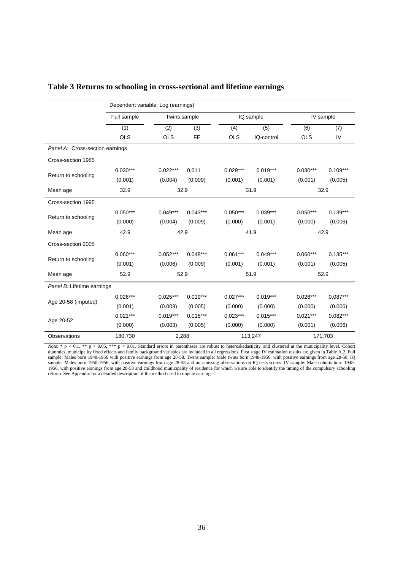|                                 | Dependent variable: Log (earnings) |              |            |            |            |            |            |  |  |
|---------------------------------|------------------------------------|--------------|------------|------------|------------|------------|------------|--|--|
|                                 | Full sample                        | Twins sample |            |            | IQ sample  |            | IV sample  |  |  |
|                                 | (1)                                | (2)          | (3)        | (4)        | (5)        | (6)        | (7)        |  |  |
|                                 | <b>OLS</b>                         | <b>OLS</b>   | <b>FE</b>  | <b>OLS</b> | IQ-control | <b>OLS</b> | IV         |  |  |
| Panel A: Cross-section earnings |                                    |              |            |            |            |            |            |  |  |
| Cross-section 1985              |                                    |              |            |            |            |            |            |  |  |
|                                 | $0.030***$                         | $0.022***$   | 0.011      | $0.029***$ | $0.019***$ | $0.030***$ | $0.109***$ |  |  |
| Return to schooling             | (0.001)                            | (0.004)      | (0.009)    | (0.001)    | (0.001)    | (0.001)    | (0.005)    |  |  |
| Mean age                        | 32.9                               | 32.9         |            | 31.9       |            | 32.9       |            |  |  |
| Cross-section 1995              |                                    |              |            |            |            |            |            |  |  |
| Return to schooling             | $0.050***$                         | $0.049***$   | $0.043***$ | $0.050***$ | $0.039***$ | $0.050***$ | $0.139***$ |  |  |
|                                 | (0.000)                            | (0.004)      | (0.009)    | (0.000)    | (0.001)    | (0.000)    | (0.006)    |  |  |
| Mean age                        | 42.9                               | 42.9         |            |            | 41.9       | 42.9       |            |  |  |
| Cross-section 2005              |                                    |              |            |            |            |            |            |  |  |
| Return to schooling             | $0.060***$                         | $0.052***$   | $0.048***$ | $0.061***$ | $0.049***$ | $0.060***$ | $0.135***$ |  |  |
|                                 | (0.001)                            | (0.006)      | (0.009)    | (0.001)    | (0.001)    | (0.001)    | (0.005)    |  |  |
| Mean age                        | 52.9                               | 52.9         |            |            | 51.9       |            | 52.9       |  |  |
| Panel B: Lifetime earnings      |                                    |              |            |            |            |            |            |  |  |
| Age 20-58 (imputed)             | $0.026***$                         | $0.025***$   | $0.019***$ | $0.027***$ | $0.019***$ | $0.026***$ | $0.087***$ |  |  |
|                                 | (0.001)                            | (0.003)      | (0.005)    | (0.000)    | (0.000)    | (0.000)    | (0.006)    |  |  |
| Age 20-52                       | $0.021***$                         | $0.019***$   | $0.015***$ | $0.023***$ | $0.015***$ | $0.021***$ | $0.082***$ |  |  |
|                                 | (0.000)                            | (0.003)      | (0.005)    | (0.000)    | (0.000)    | (0.001)    | (0.006)    |  |  |
| Observations                    | 180,730                            | 2,288        |            |            | 113,247    | 171,703    |            |  |  |

## **Table 3 Returns to schooling in cross-sectional and lifetime earnings**

*Note*:  $* p < 0.1$ ,  $** p < 0.05$ ,  $*** p < 0.01$ . Standard errors in parentheses are robust to heteroskedasticity and clustered at the municipality level. Cohort dummies, municipality fixed effects and family background variables are included in all regressions. First stage IV estimation results are given in Table A.2. Full sample: Males born 1948-1956 with positive earnings from age 28-58. Twins sample: Male twins born 1948-1956, with positive earnings from age 28-58. IQ sample: Males born 1950-1956, with positive earnings from age 28-58 and non-missing observations on IQ tests scores. IV sample: Male cohorts born 1948- 1956, with positive earnings from age 28-58 and childhood municipality of residence for which we are able to identify the timing of the compulsory schooling reform. See Appendix for a detailed description of the method used to impute earnings.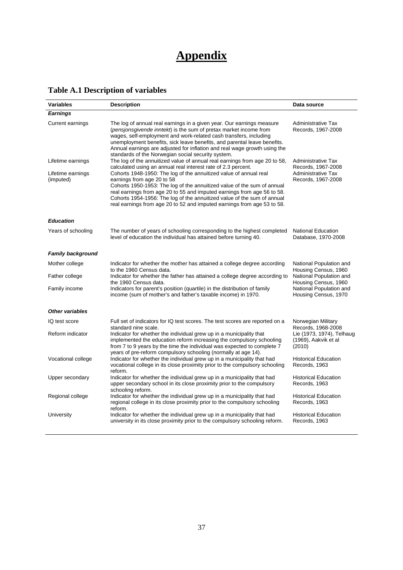# **Appendix**

## **Table A.1 Description of variables**

| <b>Variables</b>         | <b>Description</b>                                                                                                                                                                                                                                                                                                                                                                                                             | Data source                                                 |
|--------------------------|--------------------------------------------------------------------------------------------------------------------------------------------------------------------------------------------------------------------------------------------------------------------------------------------------------------------------------------------------------------------------------------------------------------------------------|-------------------------------------------------------------|
| <b>Earnings</b>          |                                                                                                                                                                                                                                                                                                                                                                                                                                |                                                             |
| Current earnings         | The log of annual real earnings in a given year. Our earnings measure<br>(pensjonsgivende inntekt) is the sum of pretax market income from<br>wages, self-employment and work-related cash transfers, including<br>unemployment benefits, sick leave benefits, and parental leave benefits.<br>Annual earnings are adjusted for inflation and real wage growth using the<br>standards of the Norwegian social security system. | <b>Administrative Tax</b><br>Records, 1967-2008             |
| Lifetime earnings        | The log of the annuitized value of annual real earnings from age 20 to 58.                                                                                                                                                                                                                                                                                                                                                     | <b>Administrative Tax</b>                                   |
| Lifetime earnings        | calculated using an annual real interest rate of 2.3 percent.<br>Cohorts 1948-1950: The log of the annuitized value of annual real                                                                                                                                                                                                                                                                                             | Records, 1967-2008<br><b>Administrative Tax</b>             |
| (imputed)                | earnings from age 20 to 58<br>Cohorts 1950-1953: The log of the annuitized value of the sum of annual<br>real earnings from age 20 to 55 and imputed earnings from age 56 to 58.<br>Cohorts 1954-1956: The log of the annuitized value of the sum of annual<br>real earnings from age 20 to 52 and imputed earnings from age 53 to 58.                                                                                         | Records, 1967-2008                                          |
| <b>Education</b>         |                                                                                                                                                                                                                                                                                                                                                                                                                                |                                                             |
| Years of schooling       | The number of years of schooling corresponding to the highest completed<br>level of education the individual has attained before turning 40.                                                                                                                                                                                                                                                                                   | <b>National Education</b><br>Database, 1970-2008            |
| <b>Family background</b> |                                                                                                                                                                                                                                                                                                                                                                                                                                |                                                             |
| Mother college           | Indicator for whether the mother has attained a college degree according<br>to the 1960 Census data.                                                                                                                                                                                                                                                                                                                           | National Population and<br>Housing Census, 1960             |
| Father college           | Indicator for whether the father has attained a college degree according to<br>the 1960 Census data.                                                                                                                                                                                                                                                                                                                           | National Population and<br>Housing Census, 1960             |
| Family income            | Indicators for parent's position (quartile) in the distribution of family<br>income (sum of mother's and father's taxable income) in 1970.                                                                                                                                                                                                                                                                                     | National Population and<br>Housing Census, 1970             |
| <b>Other variables</b>   |                                                                                                                                                                                                                                                                                                                                                                                                                                |                                                             |
| IQ test score            | Full set of indicators for IQ test scores. The test scores are reported on a<br>standard nine scale.                                                                                                                                                                                                                                                                                                                           | Norwegian Military<br>Records, 1968-2008                    |
| Reform indicator         | Indicator for whether the individual grew up in a municipality that<br>implemented the education reform increasing the compulsory schooling<br>from 7 to 9 years by the time the individual was expected to complete 7                                                                                                                                                                                                         | Lie (1973, 1974), Telhaug<br>(1969), Aakvik et al<br>(2010) |
| Vocational college       | years of pre-reform compulsory schooling (normally at age 14).<br>Indicator for whether the individual grew up in a municipality that had<br>vocational college in its close proximity prior to the compulsory schooling<br>reform.                                                                                                                                                                                            | <b>Historical Education</b><br>Records, 1963                |
| Upper secondary          | Indicator for whether the individual grew up in a municipality that had<br>upper secondary school in its close proximity prior to the compulsory<br>schooling reform.                                                                                                                                                                                                                                                          | <b>Historical Education</b><br>Records, 1963                |
| Regional college         | Indicator for whether the individual grew up in a municipality that had<br>regional college in its close proximity prior to the compulsory schooling<br>reform.                                                                                                                                                                                                                                                                | <b>Historical Education</b><br>Records, 1963                |
| University               | Indicator for whether the individual grew up in a municipality that had<br>university in its close proximity prior to the compulsory schooling reform.                                                                                                                                                                                                                                                                         | <b>Historical Education</b><br>Records, 1963                |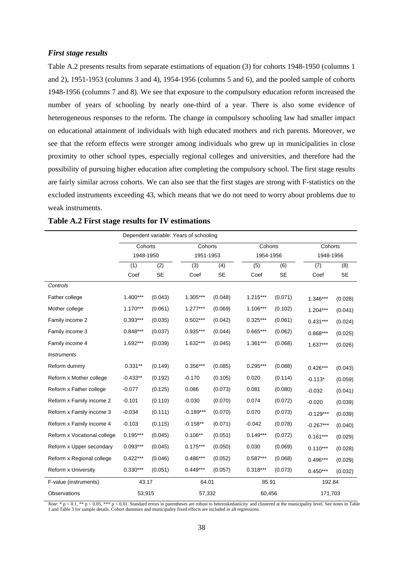#### *First stage results*

Table A.2 presents results from separate estimations of equation (3) for cohorts 1948-1950 (columns 1 and 2), 1951-1953 (columns 3 and 4), 1954-1956 (columns 5 and 6), and the pooled sample of cohorts 1948-1956 (columns 7 and 8). We see that exposure to the compulsory education reform increased the number of years of schooling by nearly one-third of a year. There is also some evidence of heterogeneous responses to the reform. The change in compulsory schooling law had smaller impact on educational attainment of individuals with high educated mothers and rich parents. Moreover, we see that the reform effects were stronger among individuals who grew up in municipalities in close proximity to other school types, especially regional colleges and universities, and therefore had the possibility of pursuing higher education after completing the compulsory school. The first stage results are fairly similar across cohorts. We can also see that the first stages are strong with F-statistics on the excluded instruments exceeding 43, which means that we do not need to worry about problems due to weak instruments.

|                             | Dependent variable: Years of schooling |                  |                  |           |            |         |             |           |
|-----------------------------|----------------------------------------|------------------|------------------|-----------|------------|---------|-------------|-----------|
|                             | Cohorts                                |                  | Cohorts          |           | Cohorts    |         | Cohorts     |           |
|                             | 1948-1950                              |                  | 1951-1953        |           | 1954-1956  |         | 1948-1956   |           |
|                             | (1)                                    | $\overline{(2)}$ | $\overline{(3)}$ | (4)       | (5)        | (6)     | (7)         | (8)       |
|                             | Coef                                   | <b>SE</b>        | Coef             | <b>SE</b> | Coef       | SE      | Coef        | <b>SE</b> |
| Controls                    |                                        |                  |                  |           |            |         |             |           |
| Father college              | 1.400***                               | (0.043)          | $1.305***$       | (0.048)   | $1.215***$ | (0.071) | $1.346***$  | (0.028)   |
| Mother college              | $1.170***$                             | (0.061)          | $1.277***$       | (0.069)   | $1.106***$ | (0.102) | $1.204***$  | (0.041)   |
| Family income 2             | $0.393***$                             | (0.035)          | $0.502***$       | (0.042)   | $0.325***$ | (0.061) | $0.431***$  | (0.024)   |
| Family income 3             | $0.848***$                             | (0.037)          | $0.935***$       | (0.044)   | $0.665***$ | (0.062) | $0.868***$  | (0.025)   |
| Family income 4             | $1.692***$                             | (0.039)          | $1.632***$       | (0.045)   | $1.361***$ | (0.068) | $1.637***$  | (0.026)   |
| <b>Instruments</b>          |                                        |                  |                  |           |            |         |             |           |
| Reform dummy                | $0.331**$                              | (0.149)          | 0.356***         | (0.085)   | $0.295***$ | (0.088) | $0.426***$  | (0.043)   |
| Reform x Mother college     | $-0.433**$                             | (0.192)          | $-0.170$         | (0.105)   | 0.020      | (0.114) | $-0.113*$   | (0.059)   |
| Reform x Father college     | $-0.077$                               | (0.125)          | 0.086            | (0.073)   | 0.081      | (0.080) | $-0.032$    | (0.041)   |
| Reform x Family income 2    | $-0.101$                               | (0.110)          | $-0.030$         | (0.070)   | 0.074      | (0.072) | $-0.020$    | (0.039)   |
| Reform x Family income 3    | $-0.034$                               | (0.111)          | $-0.189***$      | (0.070)   | 0.070      | (0.073) | $-0.129***$ | (0.039)   |
| Reform x Family income 4    | $-0.103$                               | (0.115)          | $-0.158**$       | (0.071)   | $-0.042$   | (0.078) | $-0.267***$ | (0.040)   |
| Reform x Vocational college | $0.195***$                             | (0.045)          | $0.106**$        | (0.051)   | $0.149***$ | (0.072) | $0.161***$  | (0.029)   |
| Reform x Upper secondary    | $0.093***$                             | (0.045)          | $0.175***$       | (0.050)   | 0.030      | (0.069) | $0.110***$  | (0.028)   |
| Reform x Regional college   | $0.422***$                             | (0.046)          | $0.486***$       | (0.052)   | $0.587***$ | (0.068) | $0.496***$  | (0.029)   |
| Reform x University         | $0.330***$                             | (0.051)          | $0.449***$       | (0.057)   | $0.318***$ | (0.073) | $0.450***$  | (0.032)   |
| F-value (instruments)       | 43.17                                  |                  | 64.01            |           | 85.91      |         | 192.84      |           |
| Observations                | 53,915                                 |                  | 57,332           |           | 60,456     |         | 171,703     |           |

## **Table A.2 First stage results for IV estimations**

*Note*: \*  $p < 0.1$ , \*\*  $p < 0.05$ , \*\*\*  $p < 0.01$ . Standard errors in parentheses are robust to heteroskedasticity and clustered at the municipality level. See notes in Table 1 and Table 3 for sample details. Cohort dummies and municipality fixed effects are included in all regressions.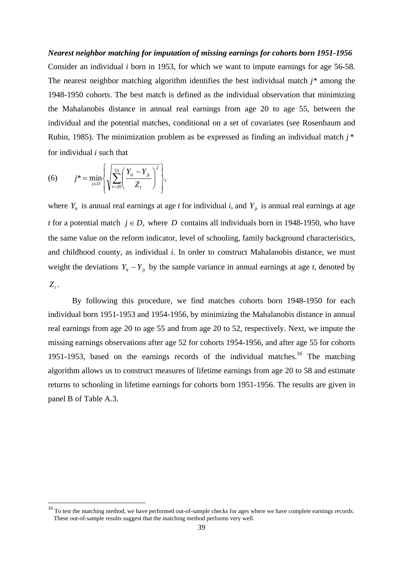## *Nearest neighbor matching for imputation of missing earnings for cohorts born 1951-1956*  Consider an individual *i* born in 1953, for which we want to impute earnings for age 56-58. The nearest neighbor matching algorithm identifies the best individual match *j\** among the 1948-1950 cohorts. The best match is defined as the individual observation that minimizing the Mahalanobis distance in annual real earnings from age 20 to age 55, between the individual and the potential matches, conditional on a set of covariates (see Rosenbaum and Rubin, 1985). The minimization problem as be expressed as finding an individual match *j* \* for individual *i* such that

(6) 
$$
j^* = \min_{j \in D} \left\{ \sqrt{\sum_{t=20}^{55} \left( \frac{Y_u - Y_{jt}}{Z_t} \right)^2} \right\},
$$

l

where  $Y_{it}$  is annual real earnings at age *t* for individual *i*, and  $Y_{it}$  is annual real earnings at age *t* for a potential match  $j \in D$ , where *D* contains all individuals born in 1948-1950, who have the same value on the reform indicator, level of schooling, family background characteristics, and childhood county, as individual *i*. In order to construct Mahalanobis distance, we must weight the deviations  $Y_{it} - Y_{jt}$  by the sample variance in annual earnings at age *t*, denoted by  $Z_t$ .

By following this procedure, we find matches cohorts born 1948-1950 for each individual born 1951-1953 and 1954-1956, by minimizing the Mahalanobis distance in annual real earnings from age 20 to age 55 and from age 20 to 52, respectively. Next, we impute the missing earnings observations after age 52 for cohorts 1954-1956, and after age 55 for cohorts 1951-1953, based on the earnings records of the individual matches.<sup>16</sup> The matching algorithm allows us to construct measures of lifetime earnings from age 20 to 58 and estimate returns to schooling in lifetime earnings for cohorts born 1951-1956. The results are given in panel B of Table A.3.

 $16$  To test the matching method, we have performed out-of-sample checks for ages where we have complete earnings records. These out-of-sample results suggest that the matching method performs very well.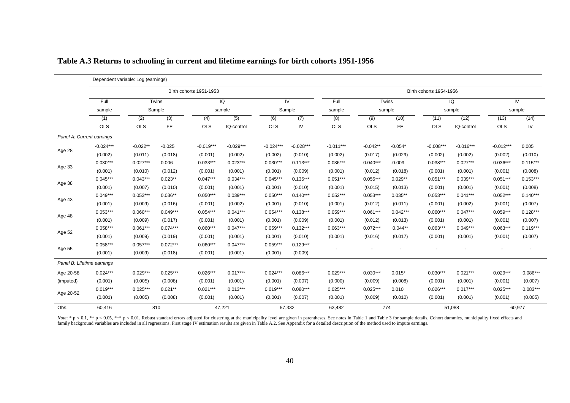|                            |             | Dependent variable: Log (earnings) |            |             |                      |             |                |             |            |                         |             |             |             |            |  |  |
|----------------------------|-------------|------------------------------------|------------|-------------|----------------------|-------------|----------------|-------------|------------|-------------------------|-------------|-------------|-------------|------------|--|--|
|                            |             | Birth cohorts 1951-1953            |            |             |                      |             |                |             |            | Birth cohorts 1954-1956 |             |             |             |            |  |  |
|                            | Full        |                                    | Twins      |             | $\overline{Q}$<br>IV |             | Full<br>sample |             | Twins      |                         | IQ          |             | IV          |            |  |  |
|                            | sample      |                                    | Sample     | sample      |                      | Sample      |                | sample      |            | sample                  |             | sample      |             |            |  |  |
|                            | (1)         | (2)                                | (3)        | (4)         | (5)                  | (6)         | (7)            | (8)         | (9)        | (10)                    | (11)        | (12)        | (13)        | (14)       |  |  |
|                            | <b>OLS</b>  | <b>OLS</b>                         | <b>FE</b>  | <b>OLS</b>  | IQ-control           | <b>OLS</b>  | IV             | <b>OLS</b>  | <b>OLS</b> | FE                      | <b>OLS</b>  | IQ-control  | <b>OLS</b>  | IV         |  |  |
| Panel A: Current earnings  |             |                                    |            |             |                      |             |                |             |            |                         |             |             |             |            |  |  |
|                            | $-0.024***$ | $-0.022**$                         | $-0.025$   | $-0.019***$ | $-0.029***$          | $-0.024***$ | $-0.028***$    | $-0.011***$ | $-0.042**$ | $-0.054*$               | $-0.008***$ | $-0.016***$ | $-0.012***$ | 0.005      |  |  |
| Age 28                     | (0.002)     | (0.011)                            | (0.018)    | (0.001)     | (0.002)              | (0.002)     | (0.010)        | (0.002)     | (0.017)    | (0.029)                 | (0.002)     | (0.002)     | (0.002)     | (0.010)    |  |  |
| Age 33                     | $0.030***$  | $0.027***$                         | 0.006      | $0.033***$  | $0.023***$           | $0.030***$  | $0.113***$     | $0.036***$  | $0.040***$ | $-0.009$                | $0.038***$  | $0.027***$  | $0.036***$  | $0.115***$ |  |  |
|                            | (0.001)     | (0.010)                            | (0.012)    | (0.001)     | (0.001)              | (0.001)     | (0.009)        | (0.001)     | (0.012)    | (0.018)                 | (0.001)     | (0.001)     | (0.001)     | (0.008)    |  |  |
| Age 38                     | $0.045***$  | $0.043***$                         | $0.023**$  | $0.047***$  | $0.034***$           | $0.045***$  | $0.135***$     | $0.051***$  | $0.055***$ | $0.029**$               | $0.051***$  | $0.039***$  | $0.051***$  | $0.153***$ |  |  |
|                            | (0.001)     | (0.007)                            | (0.010)    | (0.001)     | (0.001)              | (0.001)     | (0.010)        | (0.001)     | (0.015)    | (0.013)                 | (0.001)     | (0.001)     | (0.001)     | (0.008)    |  |  |
| Age 43                     | $0.049***$  | $0.053***$                         | $0.036**$  | $0.050***$  | $0.039***$           | $0.050***$  | $0.140***$     | $0.052***$  | $0.053***$ | $0.035***$              | $0.053***$  | $0.041***$  | $0.052***$  | $0.140***$ |  |  |
|                            | (0.001)     | (0.009)                            | (0.016)    | (0.001)     | (0.002)              | (0.001)     | (0.010)        | (0.001)     | (0.012)    | (0.011)                 | (0.001)     | (0.002)     | (0.001)     | (0.007)    |  |  |
|                            | $0.053***$  | $0.060***$                         | $0.049***$ | $0.054***$  | $0.041***$           | $0.054***$  | $0.138***$     | $0.059***$  | $0.061***$ | $0.042***$              | $0.060***$  | $0.047***$  | $0.059***$  | $0.128***$ |  |  |
| Age 48                     | (0.001)     | (0.009)                            | (0.017)    | (0.001)     | (0.001)              | (0.001)     | (0.009)        | (0.001)     | (0.012)    | (0.013)                 | (0.001)     | (0.001)     | (0.001)     | (0.007)    |  |  |
|                            | $0.058***$  | $0.061***$                         | $0.074***$ | $0.060***$  | $0.047***$           | $0.059***$  | $0.132***$     | $0.063***$  | $0.072***$ | $0.044**$               | $0.063***$  | $0.049***$  | $0.063***$  | $0.119***$ |  |  |
| Age 52                     | (0.001)     | (0.009)                            | (0.019)    | (0.001)     | (0.001)              | (0.001)     | (0.010)        | (0.001)     | (0.016)    | (0.017)                 | (0.001)     | (0.001)     | (0.001)     | (0.007)    |  |  |
|                            | $0.058***$  | $0.057***$                         | $0.072***$ | $0.060***$  | $0.047***$           | $0.059***$  | $0.129***$     |             |            |                         |             |             |             |            |  |  |
| Age 55                     | (0.001)     | (0.009)                            | (0.018)    | (0.001)     | (0.001)              | (0.001)     | (0.009)        |             |            |                         |             |             |             |            |  |  |
| Panel B: Lifetime earnings |             |                                    |            |             |                      |             |                |             |            |                         |             |             |             |            |  |  |
| Age 20-58                  | $0.024***$  | $0.029***$                         | $0.025***$ | $0.026***$  | $0.017***$           | $0.024***$  | $0.086***$     | $0.029***$  | $0.030***$ | $0.015*$                | $0.030***$  | $0.021***$  | $0.029***$  | $0.086***$ |  |  |
| (imputed)                  | (0.001)     | (0.005)                            | (0.008)    | (0.001)     | (0.001)              | (0.001)     | (0.007)        | (0.000)     | (0.009)    | (0.008)                 | (0.001)     | (0.001)     | (0.001)     | (0.007)    |  |  |
|                            | $0.019***$  | $0.025***$                         | $0.021***$ | $0.021***$  | $0.013***$           | $0.019***$  | $0.080***$     | $0.025***$  | $0.025***$ | 0.010                   | $0.026***$  | $0.017***$  | $0.025***$  | $0.083***$ |  |  |
| Age 20-52                  | (0.001)     | (0.005)                            | (0.008)    | (0.001)     | (0.001)              | (0.001)     | (0.007)        | (0.001)     | (0.009)    | (0.010)                 | (0.001)     | (0.001)     | (0.001)     | (0.005)    |  |  |
| Obs.                       | 60,416      |                                    | 810        |             | 47,221               |             | 57,332         | 63,482      |            | 774                     |             | 51,088      |             | 60,977     |  |  |

| Table A.3 Returns to schooling in current and lifetime earnings for birth cohorts 1951-1956 |  |  |
|---------------------------------------------------------------------------------------------|--|--|
|                                                                                             |  |  |

*Note*: \*  $p < 0.1$ , \*\*  $p < 0.05$ , \*\*\*  $p < 0.01$ . Robust standard errors adjusted for clustering at the municipality level are given in parentheses. See notes in Table 1 and Table 3 for sample details. Cohort dummies, muni family background variables are included in all regressions. First stage IV estimation results are given in Table A.2. See Appendix for a detailed description of the method used to impute earnings.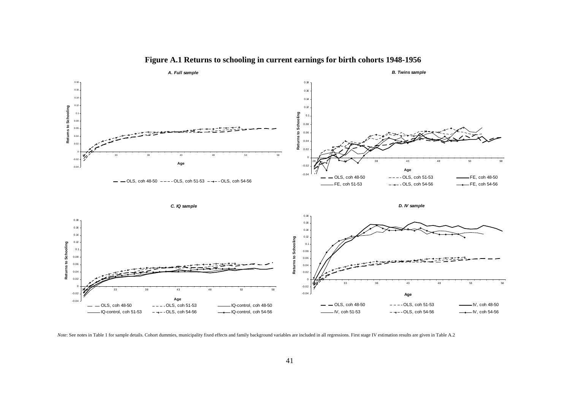![](_page_41_Figure_0.jpeg)

**Figure A.1 Returns to schooling in current earnings for birth cohorts 1948-1956** 

*Note*: See notes in Table 1 for sample details. Cohort dummies, municipality fixed effects and family background variables are included in all regressions. First stage IV estimation results are given in Table A.2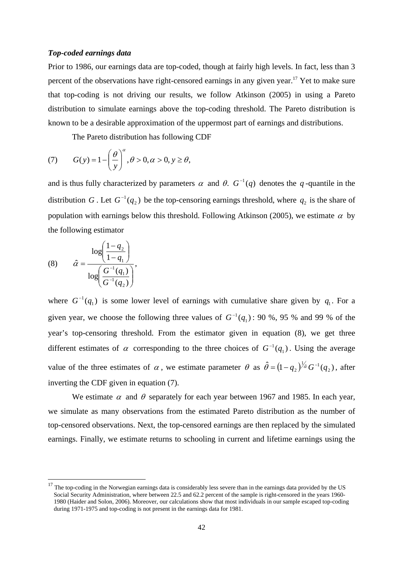#### *Top-coded earnings data*

Prior to 1986, our earnings data are top-coded, though at fairly high levels. In fact, less than 3 percent of the observations have right-censored earnings in any given year.17 Yet to make sure that top-coding is not driving our results, we follow Atkinson (2005) in using a Pareto distribution to simulate earnings above the top-coding threshold. The Pareto distribution is known to be a desirable approximation of the uppermost part of earnings and distributions.

The Pareto distribution has following CDF

(7) 
$$
G(y) = 1 - \left(\frac{\theta}{y}\right)^{\alpha}, \theta > 0, \alpha > 0, y \ge \theta,
$$

and is thus fully characterized by parameters  $\alpha$  and  $\theta$ .  $G^{-1}(q)$  denotes the *q*-quantile in the distribution *G*. Let  $G^{-1}(q_2)$  be the top-censoring earnings threshold, where  $q_2$  is the share of population with earnings below this threshold. Following Atkinson (2005), we estimate  $\alpha$  by the following estimator

(8) 
$$
\hat{\alpha} = \frac{\log \left( \frac{1 - q_2}{1 - q_1} \right)}{\log \left( \frac{G^{-1}(q_1)}{G^{-1}(q_2)} \right)},
$$

l

where  $G^{-1}(q_1)$  is some lower level of earnings with cumulative share given by  $q_1$ . For a given year, we choose the following three values of  $G^{-1}(q_1)$ : 90 %, 95 % and 99 % of the year's top-censoring threshold. From the estimator given in equation (8), we get three different estimates of  $\alpha$  corresponding to the three choices of  $G^{-1}(q_1)$ . Using the average value of the three estimates of  $\alpha$ , we estimate parameter  $\theta$  as  $\hat{\theta} = (1 - q_2)^{1/\hat{\alpha}} G^{-1}(q_2)$ , after inverting the CDF given in equation (7).

We estimate  $\alpha$  and  $\theta$  separately for each year between 1967 and 1985. In each year, we simulate as many observations from the estimated Pareto distribution as the number of top-censored observations. Next, the top-censored earnings are then replaced by the simulated earnings. Finally, we estimate returns to schooling in current and lifetime earnings using the

 $17$  The top-coding in the Norwegian earnings data is considerably less severe than in the earnings data provided by the US Social Security Administration, where between 22.5 and 62.2 percent of the sample is right-censored in the years 1960- 1980 (Haider and Solon, 2006). Moreover, our calculations show that most individuals in our sample escaped top-coding during 1971-1975 and top-coding is not present in the earnings data for 1981.